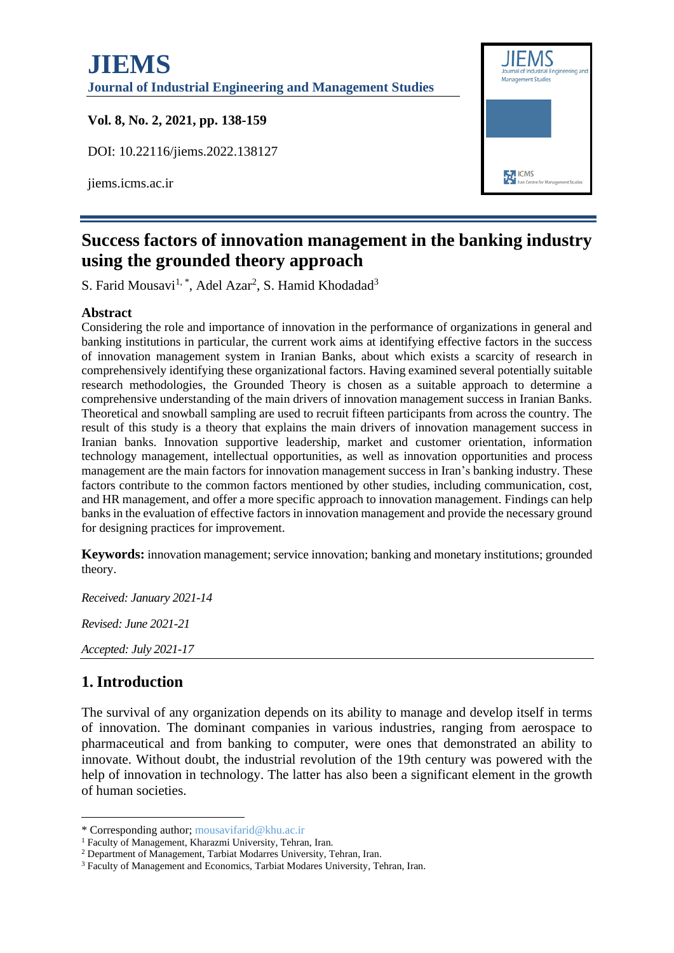# **JIEMS Journal of Industrial Engineering and Management Studies**

#### **Vol. 8, No. 2, 2021, pp. 138-159**

DOI: 10.22116/jiems.2022.138127

jiems.icms.ac.ir



# **Success factors of innovation management in the banking industry using the grounded theory approach**

S. Farid Mousavi<sup>1, \*</sup>, Adel Azar<sup>2</sup>, S. Hamid Khodadad<sup>3</sup>

#### **Abstract**

Considering the role and importance of innovation in the performance of organizations in general and banking institutions in particular, the current work aims at identifying effective factors in the success of innovation management system in Iranian Banks, about which exists a scarcity of research in comprehensively identifying these organizational factors. Having examined several potentially suitable research methodologies, the Grounded Theory is chosen as a suitable approach to determine a comprehensive understanding of the main drivers of innovation management success in Iranian Banks. Theoretical and snowball sampling are used to recruit fifteen participants from across the country. The result of this study is a theory that explains the main drivers of innovation management success in Iranian banks. Innovation supportive leadership, market and customer orientation, information technology management, intellectual opportunities, as well as innovation opportunities and process management are the main factors for innovation management success in Iran's banking industry. These factors contribute to the common factors mentioned by other studies, including communication, cost, and HR management, and offer a more specific approach to innovation management. Findings can help banks in the evaluation of effective factors in innovation management and provide the necessary ground for designing practices for improvement.

**Keywords:** innovation management; service innovation; banking and monetary institutions; grounded theory.

*Received: January 2021-14*

*Revised: June 2021-21*

*Accepted: July 2021-17*

# **1. Introduction**

The survival of any organization depends on its ability to manage and develop itself in terms of innovation. The dominant companies in various industries, ranging from aerospace to pharmaceutical and from banking to computer, were ones that demonstrated an ability to innovate. Without doubt, the industrial revolution of the 19th century was powered with the help of innovation in technology. The latter has also been a significant element in the growth of human societies.

<sup>\*</sup> Corresponding author; mousavifarid@khu.ac.ir

<sup>1</sup> Faculty of Management, Kharazmi University, Tehran, Iran.

<sup>2</sup> Department of Management, Tarbiat Modarres University, Tehran, Iran.

<sup>3</sup> Faculty of Management and Economics, Tarbiat Modares University, Tehran, Iran.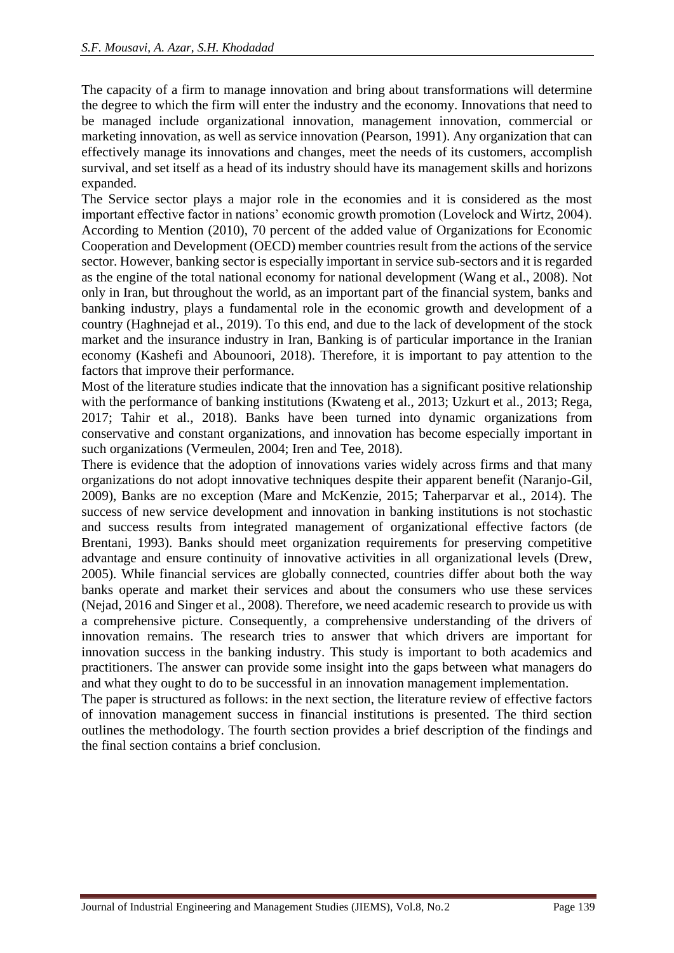The capacity of a firm to manage innovation and bring about transformations will determine the degree to which the firm will enter the industry and the economy. Innovations that need to be managed include organizational innovation, management innovation, commercial or marketing innovation, as well as service innovation (Pearson, 1991). Any organization that can effectively manage its innovations and changes, meet the needs of its customers, accomplish survival, and set itself as a head of its industry should have its management skills and horizons expanded.

The Service sector plays a major role in the economies and it is considered as the most important effective factor in nations' economic growth promotion (Lovelock and Wirtz, 2004). According to Mention (2010), 70 percent of the added value of Organizations for Economic Cooperation and Development (OECD) member countries result from the actions of the service sector. However, banking sector is especially important in service sub-sectors and it is regarded as the engine of the total national economy for national development (Wang et al., 2008). Not only in Iran, but throughout the world, as an important part of the financial system, banks and banking industry, plays a fundamental role in the economic growth and development of a country (Haghnejad et al., 2019). To this end, and due to the lack of development of the stock market and the insurance industry in Iran, Banking is of particular importance in the Iranian economy (Kashefi and Abounoori, 2018). Therefore, it is important to pay attention to the factors that improve their performance.

Most of the literature studies indicate that the innovation has a significant positive relationship with the performance of banking institutions (Kwateng et al., 2013; Uzkurt et al., 2013; Rega, 2017; Tahir et al., 2018). Banks have been turned into dynamic organizations from conservative and constant organizations, and innovation has become especially important in such organizations (Vermeulen, 2004; Iren and Tee, 2018).

There is evidence that the adoption of innovations varies widely across firms and that many organizations do not adopt innovative techniques despite their apparent benefit (Naranjo-Gil, 2009), Banks are no exception (Mare and McKenzie, 2015; Taherparvar et al., 2014). The success of new service development and innovation in banking institutions is not stochastic and success results from integrated management of organizational effective factors (de Brentani, 1993). Banks should meet organization requirements for preserving competitive advantage and ensure continuity of innovative activities in all organizational levels (Drew, 2005). While financial services are globally connected, countries differ about both the way banks operate and market their services and about the consumers who use these services (Nejad, 2016 and Singer et al., 2008). Therefore, we need academic research to provide us with a comprehensive picture. Consequently, a comprehensive understanding of the drivers of innovation remains. The research tries to answer that which drivers are important for innovation success in the banking industry. This study is important to both academics and practitioners. The answer can provide some insight into the gaps between what managers do and what they ought to do to be successful in an innovation management implementation.

The paper is structured as follows: in the next section, the literature review of effective factors of innovation management success in financial institutions is presented. The third section outlines the methodology. The fourth section provides a brief description of the findings and the final section contains a brief conclusion.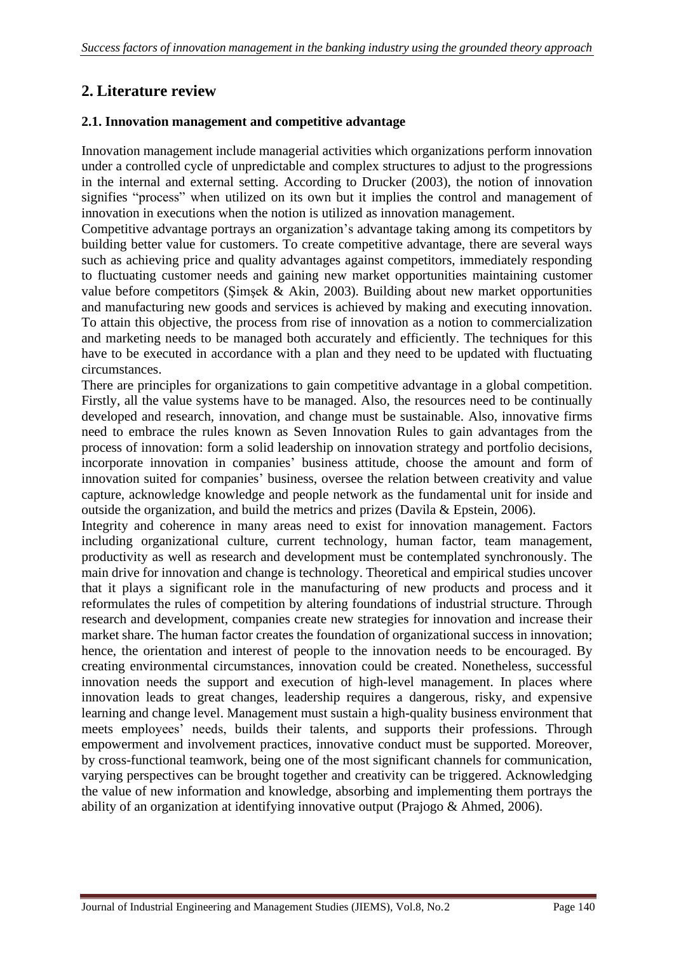# **2. Literature review**

#### **2.1. Innovation management and competitive advantage**

Innovation management include managerial activities which organizations perform innovation under a controlled cycle of unpredictable and complex structures to adjust to the progressions in the internal and external setting. According to Drucker (2003), the notion of innovation signifies "process" when utilized on its own but it implies the control and management of innovation in executions when the notion is utilized as innovation management.

Competitive advantage portrays an organization's advantage taking among its competitors by building better value for customers. To create competitive advantage, there are several ways such as achieving price and quality advantages against competitors, immediately responding to fluctuating customer needs and gaining new market opportunities maintaining customer value before competitors (Şimşek & Akin, 2003). Building about new market opportunities and manufacturing new goods and services is achieved by making and executing innovation. To attain this objective, the process from rise of innovation as a notion to commercialization and marketing needs to be managed both accurately and efficiently. The techniques for this have to be executed in accordance with a plan and they need to be updated with fluctuating circumstances.

There are principles for organizations to gain competitive advantage in a global competition. Firstly, all the value systems have to be managed. Also, the resources need to be continually developed and research, innovation, and change must be sustainable. Also, innovative firms need to embrace the rules known as Seven Innovation Rules to gain advantages from the process of innovation: form a solid leadership on innovation strategy and portfolio decisions, incorporate innovation in companies' business attitude, choose the amount and form of innovation suited for companies' business, oversee the relation between creativity and value capture, acknowledge knowledge and people network as the fundamental unit for inside and outside the organization, and build the metrics and prizes (Davila & Epstein, 2006).

Integrity and coherence in many areas need to exist for innovation management. Factors including organizational culture, current technology, human factor, team management, productivity as well as research and development must be contemplated synchronously. The main drive for innovation and change is technology. Theoretical and empirical studies uncover that it plays a significant role in the manufacturing of new products and process and it reformulates the rules of competition by altering foundations of industrial structure. Through research and development, companies create new strategies for innovation and increase their market share. The human factor creates the foundation of organizational success in innovation; hence, the orientation and interest of people to the innovation needs to be encouraged. By creating environmental circumstances, innovation could be created. Nonetheless, successful innovation needs the support and execution of high-level management. In places where innovation leads to great changes, leadership requires a dangerous, risky, and expensive learning and change level. Management must sustain a high-quality business environment that meets employees' needs, builds their talents, and supports their professions. Through empowerment and involvement practices, innovative conduct must be supported. Moreover, by cross-functional teamwork, being one of the most significant channels for communication, varying perspectives can be brought together and creativity can be triggered. Acknowledging the value of new information and knowledge, absorbing and implementing them portrays the ability of an organization at identifying innovative output (Prajogo & Ahmed, 2006).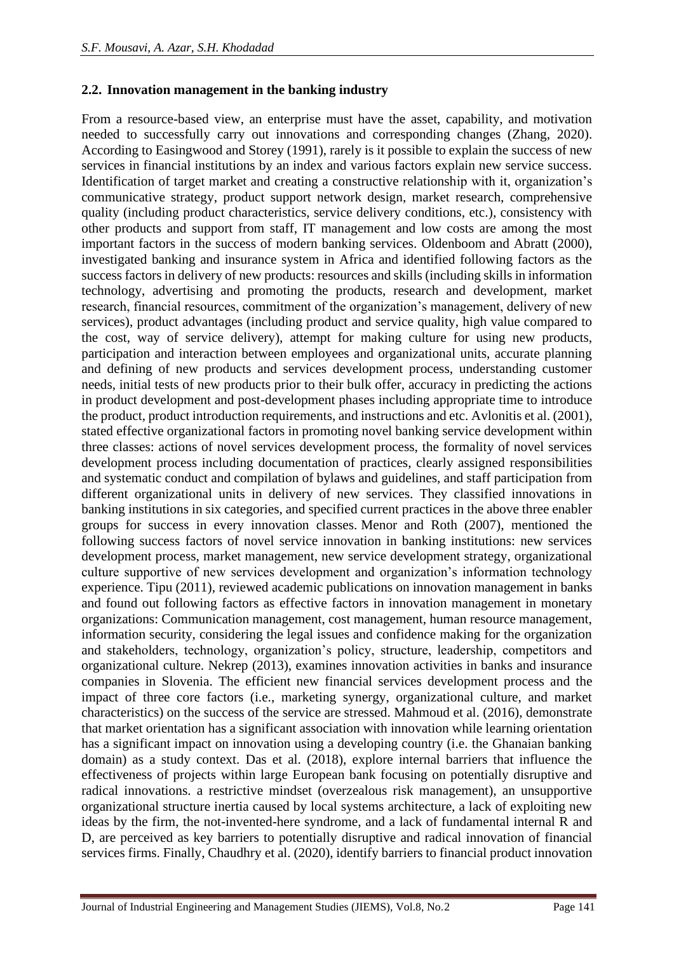#### **2.2. Innovation management in the banking industry**

From a resource-based view, an enterprise must have the asset, capability, and motivation needed to successfully carry out innovations and corresponding changes (Zhang, 2020). According to Easingwood and Storey (1991), rarely is it possible to explain the success of new services in financial institutions by an index and various factors explain new service success. Identification of target market and creating a constructive relationship with it, organization's communicative strategy, product support network design, market research, comprehensive quality (including product characteristics, service delivery conditions, etc.), consistency with other products and support from staff, IT management and low costs are among the most important factors in the success of modern banking services. Oldenboom and Abratt (2000), investigated banking and insurance system in Africa and identified following factors as the success factors in delivery of new products: resources and skills (including skills in information technology, advertising and promoting the products, research and development, market research, financial resources, commitment of the organization's management, delivery of new services), product advantages (including product and service quality, high value compared to the cost, way of service delivery), attempt for making culture for using new products, participation and interaction between employees and organizational units, accurate planning and defining of new products and services development process, understanding customer needs, initial tests of new products prior to their bulk offer, accuracy in predicting the actions in product development and post-development phases including appropriate time to introduce the product, product introduction requirements, and instructions and etc. Avlonitis et al. (2001), stated effective organizational factors in promoting novel banking service development within three classes: actions of novel services development process, the formality of novel services development process including documentation of practices, clearly assigned responsibilities and systematic conduct and compilation of bylaws and guidelines, and staff participation from different organizational units in delivery of new services. They classified innovations in banking institutions in six categories, and specified current practices in the above three enabler groups for success in every innovation classes. Menor and Roth (2007), mentioned the following success factors of novel service innovation in banking institutions: new services development process, market management, new service development strategy, organizational culture supportive of new services development and organization's information technology experience. Tipu (2011), reviewed academic publications on innovation management in banks and found out following factors as effective factors in innovation management in monetary organizations: Communication management, cost management, human resource management, information security, considering the legal issues and confidence making for the organization and stakeholders, technology, organization's policy, structure, leadership, competitors and organizational culture. Nekrep (2013), examines innovation activities in banks and insurance companies in Slovenia. The efficient new financial services development process and the impact of three core factors (i.e., marketing synergy, organizational culture, and market characteristics) on the success of the service are stressed. Mahmoud et al. (2016), demonstrate that market orientation has a significant association with innovation while learning orientation has a significant impact on innovation using a developing country (i.e. the Ghanaian banking domain) as a study context. Das et al. (2018), explore internal barriers that influence the effectiveness of projects within large European bank focusing on potentially disruptive and radical innovations. a restrictive mindset (overzealous risk management), an unsupportive organizational structure inertia caused by local systems architecture, a lack of exploiting new ideas by the firm, the not-invented-here syndrome, and a lack of fundamental internal R and D, are perceived as key barriers to potentially disruptive and radical innovation of financial services firms. Finally, [Chaudhry](https://www.emerald.com/insight/search?q=Naveed%20Iqbal%20Chaudhry) et al. (2020), identify barriers to financial product innovation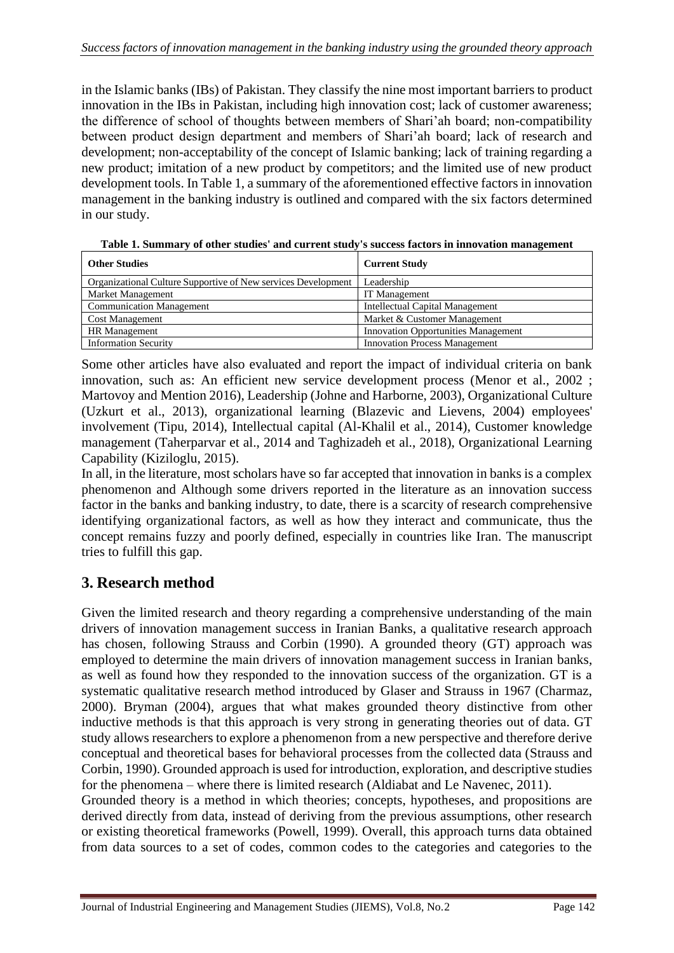in the Islamic banks (IBs) of Pakistan. They classify the nine most important barriers to product innovation in the IBs in Pakistan, including high innovation cost; lack of customer awareness; the difference of school of thoughts between members of Shari'ah board; non-compatibility between product design department and members of Shari'ah board; lack of research and development; non-acceptability of the concept of Islamic banking; lack of training regarding a new product; imitation of a new product by competitors; and the limited use of new product development tools. In Table 1, a summary of the aforementioned effective factors in innovation management in the banking industry is outlined and compared with the six factors determined in our study.

| <b>Other Studies</b>                                          | <b>Current Study</b>                       |  |
|---------------------------------------------------------------|--------------------------------------------|--|
| Organizational Culture Supportive of New services Development | Leadership                                 |  |
| Market Management                                             | IT Management                              |  |
| <b>Communication Management</b>                               | <b>Intellectual Capital Management</b>     |  |
| <b>Cost Management</b>                                        | Market & Customer Management               |  |
| <b>HR</b> Management                                          | <b>Innovation Opportunities Management</b> |  |
| <b>Information Security</b>                                   | <b>Innovation Process Management</b>       |  |

**Table 1. Summary of other studies' and current study's success factors in innovation management**

Some other articles have also evaluated and report the impact of individual criteria on bank innovation, such as: An efficient new service development process (Menor et al., 2002 ; Martovoy and Mention 2016), Leadership (Johne and Harborne, 2003), Organizational Culture (Uzkurt et al., 2013), organizational learning (Blazevic and Lievens, 2004) employees' involvement (Tipu, 2014), Intellectual capital (Al-Khalil et al., 2014), Customer knowledge management (Taherparvar et al., 2014 and Taghizadeh et al., 2018), Organizational Learning Capability (Kiziloglu, 2015).

In all, in the literature, most scholars have so far accepted that innovation in banks is a complex phenomenon and Although some drivers reported in the literature as an innovation success factor in the banks and banking industry, to date, there is a scarcity of research comprehensive identifying organizational factors, as well as how they interact and communicate, thus the concept remains fuzzy and poorly defined, especially in countries like Iran. The manuscript tries to fulfill this gap.

# **3. Research method**

Given the limited research and theory regarding a comprehensive understanding of the main drivers of innovation management success in Iranian Banks, a qualitative research approach has chosen, following Strauss and Corbin (1990). A grounded theory (GT) approach was employed to determine the main drivers of innovation management success in Iranian banks, as well as found how they responded to the innovation success of the organization. GT is a systematic qualitative research method introduced by Glaser and Strauss in 1967 (Charmaz, 2000). Bryman (2004), argues that what makes grounded theory distinctive from other inductive methods is that this approach is very strong in generating theories out of data. GT study allows researchers to explore a phenomenon from a new perspective and therefore derive conceptual and theoretical bases for behavioral processes from the collected data (Strauss and Corbin, 1990). Grounded approach is used for introduction, exploration, and descriptive studies for the phenomena – where there is limited research (Aldiabat and Le Navenec, 2011).

Grounded theory is a method in which theories; concepts, hypotheses, and propositions are derived directly from data, instead of deriving from the previous assumptions, other research or existing theoretical frameworks (Powell, 1999). Overall, this approach turns data obtained from data sources to a set of codes, common codes to the categories and categories to the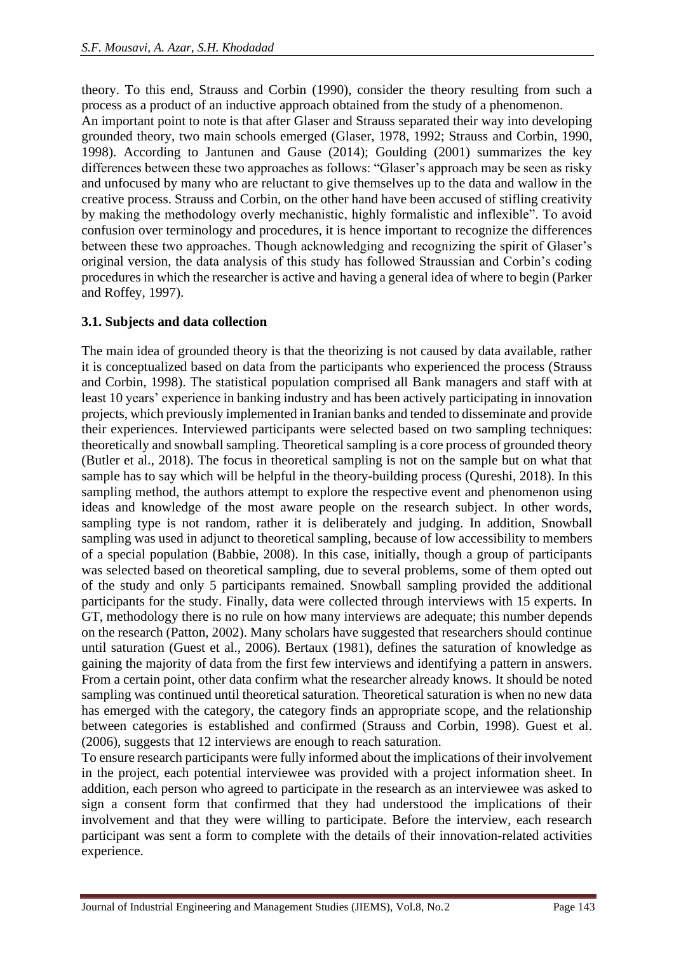theory. To this end, Strauss and Corbin (1990), consider the theory resulting from such a process as a product of an inductive approach obtained from the study of a phenomenon. An important point to note is that after Glaser and Strauss separated their way into developing grounded theory, two main schools emerged (Glaser, 1978, 1992; Strauss and Corbin, 1990, 1998). According to Jantunen and Gause (2014); Goulding (2001) summarizes the key differences between these two approaches as follows: "Glaser's approach may be seen as risky and unfocused by many who are reluctant to give themselves up to the data and wallow in the creative process. Strauss and Corbin, on the other hand have been accused of stifling creativity by making the methodology overly mechanistic, highly formalistic and inflexible". To avoid confusion over terminology and procedures, it is hence important to recognize the differences between these two approaches. Though acknowledging and recognizing the spirit of Glaser's original version, the data analysis of this study has followed Straussian and Corbin's coding procedures in which the researcher is active and having a general idea of where to begin (Parker and Roffey, 1997).

#### **3.1. Subjects and data collection**

The main idea of grounded theory is that the theorizing is not caused by data available, rather it is conceptualized based on data from the participants who experienced the process (Strauss and Corbin, 1998). The statistical population comprised all Bank managers and staff with at least 10 years' experience in banking industry and has been actively participating in innovation projects, which previously implemented in Iranian banks and tended to disseminate and provide their experiences. Interviewed participants were selected based on two sampling techniques: theoretically and snowball sampling. Theoretical sampling is a core process of grounded theory (Butler et al., 2018). The focus in theoretical sampling is not on the sample but on what that sample has to say which will be helpful in the theory-building process (Qureshi, 2018). In this sampling method, the authors attempt to explore the respective event and phenomenon using ideas and knowledge of the most aware people on the research subject. In other words, sampling type is not random, rather it is deliberately and judging. In addition, Snowball sampling was used in adjunct to theoretical sampling, because of low accessibility to members of a special population (Babbie, 2008). In this case, initially, though a group of participants was selected based on theoretical sampling, due to several problems, some of them opted out of the study and only 5 participants remained. Snowball sampling provided the additional participants for the study. Finally, data were collected through interviews with 15 experts. In GT, methodology there is no rule on how many interviews are adequate; this number depends on the research (Patton, 2002). Many scholars have suggested that researchers should continue until saturation (Guest et al., 2006). Bertaux (1981), defines the saturation of knowledge as gaining the majority of data from the first few interviews and identifying a pattern in answers. From a certain point, other data confirm what the researcher already knows. It should be noted sampling was continued until theoretical saturation. Theoretical saturation is when no new data has emerged with the category, the category finds an appropriate scope, and the relationship between categories is established and confirmed (Strauss and Corbin, 1998). Guest et al. (2006), suggests that 12 interviews are enough to reach saturation.

To ensure research participants were fully informed about the implications of their involvement in the project, each potential interviewee was provided with a project information sheet. In addition, each person who agreed to participate in the research as an interviewee was asked to sign a consent form that confirmed that they had understood the implications of their involvement and that they were willing to participate. Before the interview, each research participant was sent a form to complete with the details of their innovation-related activities experience.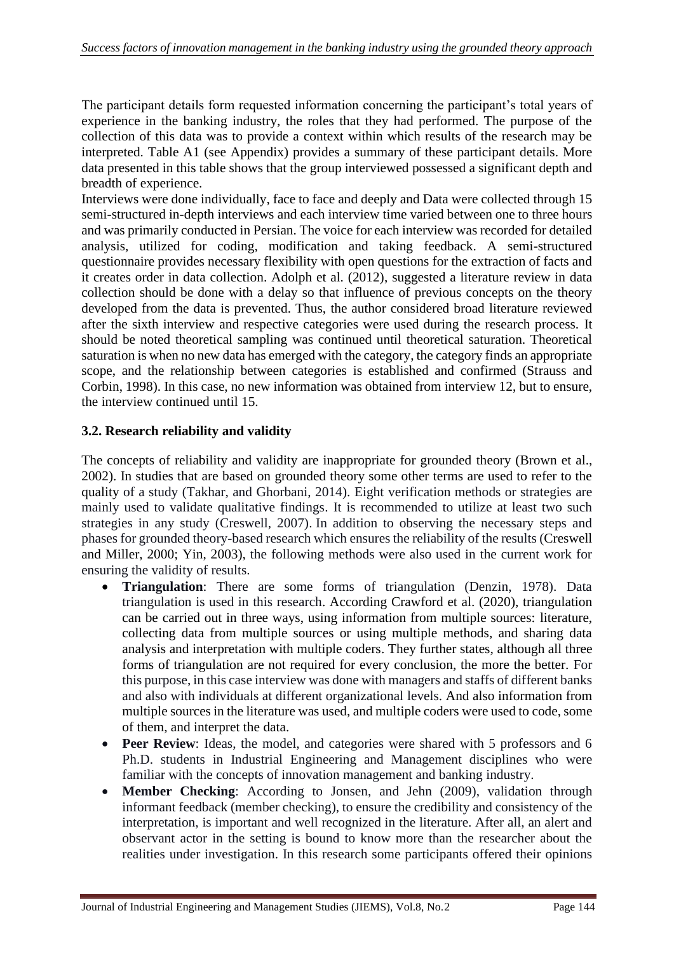The participant details form requested information concerning the participant's total years of experience in the banking industry, the roles that they had performed. The purpose of the collection of this data was to provide a context within which results of the research may be interpreted. Table A1 (see Appendix) provides a summary of these participant details. More data presented in this table shows that the group interviewed possessed a significant depth and breadth of experience.

Interviews were done individually, face to face and deeply and Data were collected through 15 semi-structured in-depth interviews and each interview time varied between one to three hours and was primarily conducted in Persian. The voice for each interview was recorded for detailed analysis, utilized for coding, modification and taking feedback. A semi-structured questionnaire provides necessary flexibility with open questions for the extraction of facts and it creates order in data collection. Adolph et al. (2012), suggested a literature review in data collection should be done with a delay so that influence of previous concepts on the theory developed from the data is prevented. Thus, the author considered broad literature reviewed after the sixth interview and respective categories were used during the research process. It should be noted theoretical sampling was continued until theoretical saturation. Theoretical saturation is when no new data has emerged with the category, the category finds an appropriate scope, and the relationship between categories is established and confirmed (Strauss and Corbin, 1998). In this case, no new information was obtained from interview 12, but to ensure, the interview continued until 15.

#### **3.2. Research reliability and validity**

The concepts of reliability and validity are inappropriate for grounded theory (Brown et al., 2002). In studies that are based on grounded theory some other terms are used to refer to the quality of a study (Takhar, and Ghorbani, 2014). Eight verification methods or strategies are mainly used to validate qualitative findings. It is recommended to utilize at least two such strategies in any study (Creswell, 2007). In addition to observing the necessary steps and phases for grounded theory-based research which ensures the reliability of the results (Creswell and Miller, 2000; Yin, 2003), the following methods were also used in the current work for ensuring the validity of results.

- **Triangulation**: There are some forms of triangulation (Denzin, 1978). Data triangulation is used in this research. According Crawford et al. (2020), triangulation can be carried out in three ways, using information from multiple sources: literature, collecting data from multiple sources or using multiple methods, and sharing data analysis and interpretation with multiple coders. They further states, although all three forms of triangulation are not required for every conclusion, the more the better. For this purpose, in this case interview was done with managers and staffs of different banks and also with individuals at different organizational levels. And also information from multiple sources in the literature was used, and multiple coders were used to code, some of them, and interpret the data.
- **Peer Review**: Ideas, the model, and categories were shared with 5 professors and 6 Ph.D. students in Industrial Engineering and Management disciplines who were familiar with the concepts of innovation management and banking industry.
- **Member Checking**: According to Jonsen, and Jehn (2009), validation through informant feedback (member checking), to ensure the credibility and consistency of the interpretation, is important and well recognized in the literature. After all, an alert and observant actor in the setting is bound to know more than the researcher about the realities under investigation. In this research some participants offered their opinions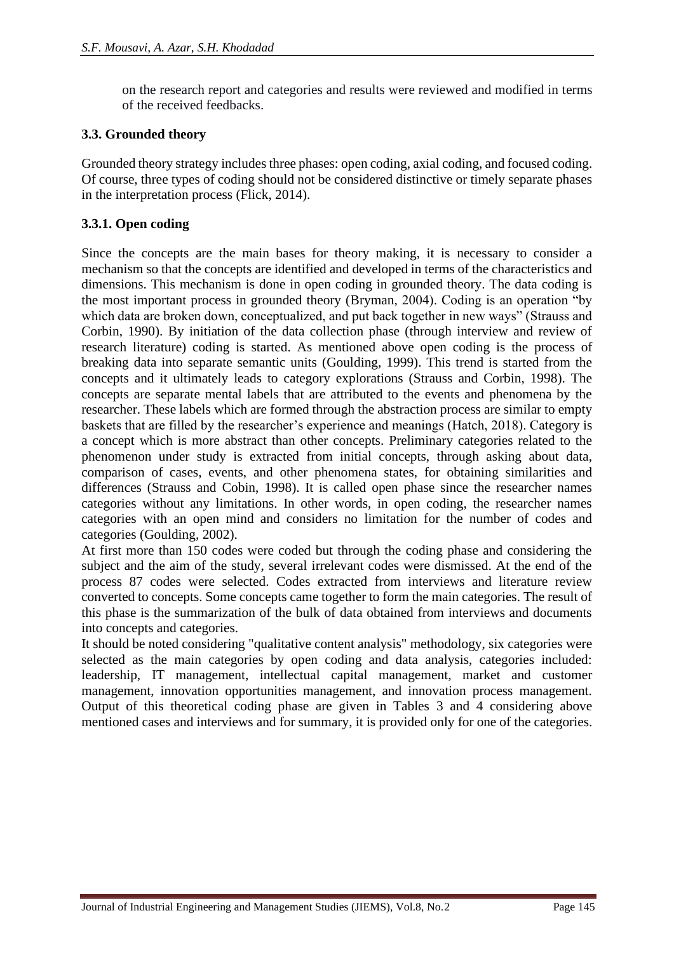on the research report and categories and results were reviewed and modified in terms of the received feedbacks.

#### **3.3. Grounded theory**

Grounded theory strategy includes three phases: open coding, axial coding, and focused coding. Of course, three types of coding should not be considered distinctive or timely separate phases in the interpretation process (Flick, 2014).

#### **3.3.1. Open coding**

Since the concepts are the main bases for theory making, it is necessary to consider a mechanism so that the concepts are identified and developed in terms of the characteristics and dimensions. This mechanism is done in open coding in grounded theory. The data coding is the most important process in grounded theory (Bryman, 2004). Coding is an operation "by which data are broken down, conceptualized, and put back together in new ways" (Strauss and Corbin, 1990). By initiation of the data collection phase (through interview and review of research literature) coding is started. As mentioned above open coding is the process of breaking data into separate semantic units (Goulding, 1999). This trend is started from the concepts and it ultimately leads to category explorations (Strauss and Corbin, 1998). The concepts are separate mental labels that are attributed to the events and phenomena by the researcher. These labels which are formed through the abstraction process are similar to empty baskets that are filled by the researcher's experience and meanings (Hatch, 2018). Category is a concept which is more abstract than other concepts. Preliminary categories related to the phenomenon under study is extracted from initial concepts, through asking about data, comparison of cases, events, and other phenomena states, for obtaining similarities and differences (Strauss and Cobin, 1998). It is called open phase since the researcher names categories without any limitations. In other words, in open coding, the researcher names categories with an open mind and considers no limitation for the number of codes and categories (Goulding, 2002).

At first more than 150 codes were coded but through the coding phase and considering the subject and the aim of the study, several irrelevant codes were dismissed. At the end of the process 87 codes were selected. Codes extracted from interviews and literature review converted to concepts. Some concepts came together to form the main categories. The result of this phase is the summarization of the bulk of data obtained from interviews and documents into concepts and categories.

It should be noted considering "qualitative content analysis" methodology, six categories were selected as the main categories by open coding and data analysis, categories included: leadership, IT management, intellectual capital management, market and customer management, innovation opportunities management, and innovation process management. Output of this theoretical coding phase are given in Tables 3 and 4 considering above mentioned cases and interviews and for summary, it is provided only for one of the categories.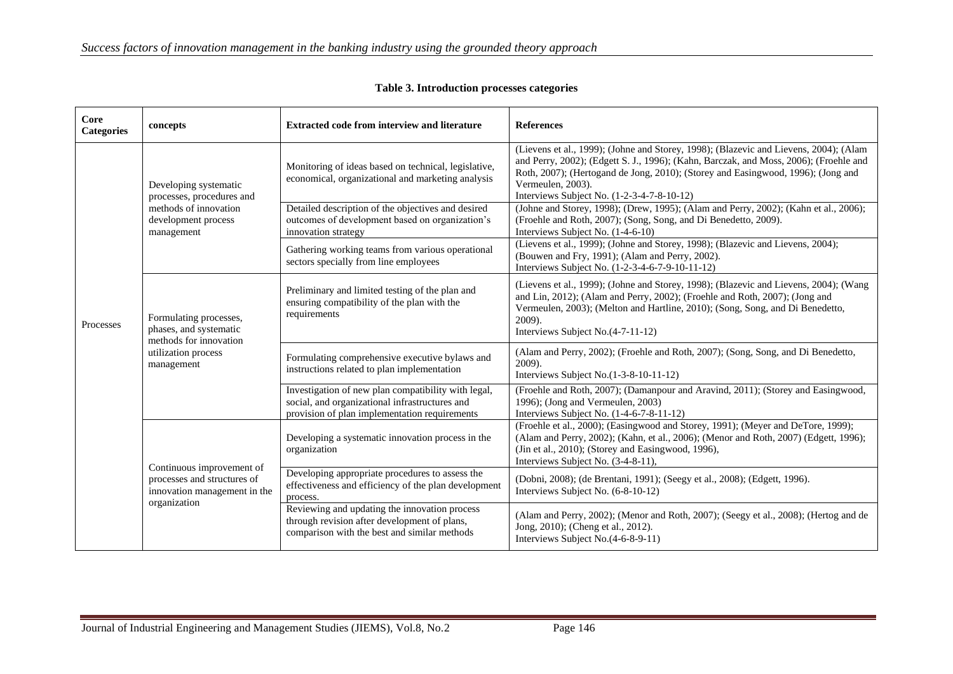| Core<br><b>Categories</b> | concepts                                                                                                         | <b>Extracted code from interview and literature</b>                                                                                                             | <b>References</b>                                                                                                                                                                                                                                                                                                                                                                                                             |
|---------------------------|------------------------------------------------------------------------------------------------------------------|-----------------------------------------------------------------------------------------------------------------------------------------------------------------|-------------------------------------------------------------------------------------------------------------------------------------------------------------------------------------------------------------------------------------------------------------------------------------------------------------------------------------------------------------------------------------------------------------------------------|
| Processes                 | Developing systematic<br>processes, procedures and<br>methods of innovation<br>development process<br>management | Monitoring of ideas based on technical, legislative,<br>economical, organizational and marketing analysis<br>Detailed description of the objectives and desired | (Lievens et al., 1999); (Johne and Storey, 1998); (Blazevic and Lievens, 2004); (Alam<br>and Perry, 2002); (Edgett S. J., 1996); (Kahn, Barczak, and Moss, 2006); (Froehle and<br>Roth, 2007); (Hertogand de Jong, 2010); (Storey and Easingwood, 1996); (Jong and<br>Vermeulen, 2003).<br>Interviews Subject No. (1-2-3-4-7-8-10-12)<br>(Johne and Storey, 1998); (Drew, 1995); (Alam and Perry, 2002); (Kahn et al., 2006); |
|                           |                                                                                                                  | outcomes of development based on organization's<br>innovation strategy                                                                                          | (Froehle and Roth, 2007); (Song, Song, and Di Benedetto, 2009).<br>Interviews Subject No. (1-4-6-10)                                                                                                                                                                                                                                                                                                                          |
|                           |                                                                                                                  | Gathering working teams from various operational<br>sectors specially from line employees                                                                       | (Lievens et al., 1999); (Johne and Storey, 1998); (Blazevic and Lievens, 2004);<br>(Bouwen and Fry, 1991); (Alam and Perry, 2002).<br>Interviews Subject No. (1-2-3-4-6-7-9-10-11-12)                                                                                                                                                                                                                                         |
|                           | Formulating processes,<br>phases, and systematic<br>methods for innovation<br>utilization process<br>management  | Preliminary and limited testing of the plan and<br>ensuring compatibility of the plan with the<br>requirements                                                  | (Lievens et al., 1999); (Johne and Storey, 1998); (Blazevic and Lievens, 2004); (Wang<br>and Lin, 2012); (Alam and Perry, 2002); (Froehle and Roth, 2007); (Jong and<br>Vermeulen, 2003); (Melton and Hartline, 2010); (Song, Song, and Di Benedetto,<br>$2009$ ).<br>Interviews Subject No.(4-7-11-12)                                                                                                                       |
|                           |                                                                                                                  | Formulating comprehensive executive bylaws and<br>instructions related to plan implementation                                                                   | (Alam and Perry, 2002); (Froehle and Roth, 2007); (Song, Song, and Di Benedetto,<br>2009).<br>Interviews Subject No.(1-3-8-10-11-12)                                                                                                                                                                                                                                                                                          |
|                           |                                                                                                                  | Investigation of new plan compatibility with legal,<br>social, and organizational infrastructures and<br>provision of plan implementation requirements          | (Froehle and Roth, 2007); (Damanpour and Aravind, 2011); (Storey and Easingwood,<br>1996); (Jong and Vermeulen, 2003)<br>Interviews Subject No. (1-4-6-7-8-11-12)                                                                                                                                                                                                                                                             |
|                           | Continuous improvement of<br>processes and structures of<br>innovation management in the<br>organization         | Developing a systematic innovation process in the<br>organization                                                                                               | (Froehle et al., 2000); (Easingwood and Storey, 1991); (Meyer and DeTore, 1999);<br>(Alam and Perry, 2002); (Kahn, et al., 2006); (Menor and Roth, 2007) (Edgett, 1996);<br>(Jin et al., 2010); (Storey and Easingwood, 1996),<br>Interviews Subject No. (3-4-8-11),                                                                                                                                                          |
|                           |                                                                                                                  | Developing appropriate procedures to assess the<br>effectiveness and efficiency of the plan development<br>process.                                             | (Dobni, 2008); (de Brentani, 1991); (Seegy et al., 2008); (Edgett, 1996).<br>Interviews Subject No. (6-8-10-12)                                                                                                                                                                                                                                                                                                               |
|                           |                                                                                                                  | Reviewing and updating the innovation process<br>through revision after development of plans,<br>comparison with the best and similar methods                   | (Alam and Perry, 2002); (Menor and Roth, 2007); (Seegy et al., 2008); (Hertog and de<br>Jong, 2010); (Cheng et al., 2012).<br>Interviews Subject No.(4-6-8-9-11)                                                                                                                                                                                                                                                              |

**Table 3. Introduction processes categories**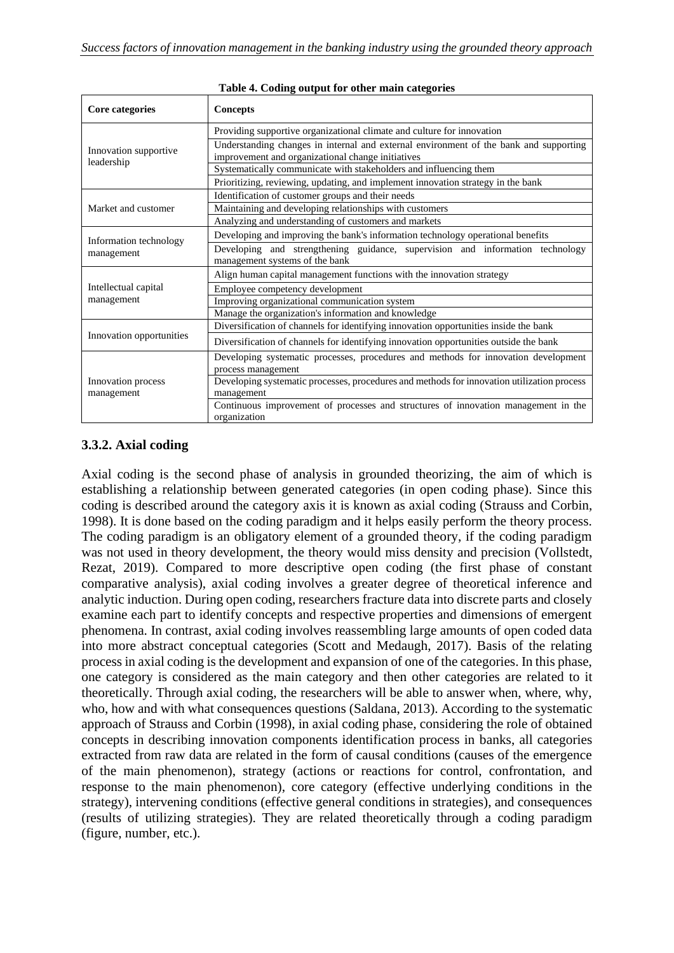| Core categories                     | <b>Concepts</b>                                                                                                                            |  |  |
|-------------------------------------|--------------------------------------------------------------------------------------------------------------------------------------------|--|--|
|                                     | Providing supportive organizational climate and culture for innovation                                                                     |  |  |
| Innovation supportive<br>leadership | Understanding changes in internal and external environment of the bank and supporting<br>improvement and organizational change initiatives |  |  |
|                                     | Systematically communicate with stakeholders and influencing them                                                                          |  |  |
|                                     | Prioritizing, reviewing, updating, and implement innovation strategy in the bank                                                           |  |  |
| Market and customer                 | Identification of customer groups and their needs                                                                                          |  |  |
|                                     | Maintaining and developing relationships with customers                                                                                    |  |  |
|                                     | Analyzing and understanding of customers and markets                                                                                       |  |  |
| Information technology              | Developing and improving the bank's information technology operational benefits                                                            |  |  |
| management                          | Developing and strengthening guidance, supervision and information technology<br>management systems of the bank                            |  |  |
|                                     | Align human capital management functions with the innovation strategy                                                                      |  |  |
| Intellectual capital                | Employee competency development                                                                                                            |  |  |
| management                          | Improving organizational communication system                                                                                              |  |  |
|                                     | Manage the organization's information and knowledge                                                                                        |  |  |
|                                     | Diversification of channels for identifying innovation opportunities inside the bank                                                       |  |  |
| Innovation opportunities            | Diversification of channels for identifying innovation opportunities outside the bank                                                      |  |  |
|                                     | Developing systematic processes, procedures and methods for innovation development                                                         |  |  |
|                                     | process management                                                                                                                         |  |  |
| Innovation process                  | Developing systematic processes, procedures and methods for innovation utilization process                                                 |  |  |
| management                          | management                                                                                                                                 |  |  |
|                                     | Continuous improvement of processes and structures of innovation management in the                                                         |  |  |
|                                     | organization                                                                                                                               |  |  |

#### **Table 4. Coding output for other main categories**

#### **3.3.2. Axial coding**

Axial coding is the second phase of analysis in grounded theorizing, the aim of which is establishing a relationship between generated categories (in open coding phase). Since this coding is described around the category axis it is known as axial coding (Strauss and Corbin, 1998). It is done based on the coding paradigm and it helps easily perform the theory process. The coding paradigm is an obligatory element of a grounded theory, if the coding paradigm was not used in theory development, the theory would miss density and precision (Vollstedt, Rezat, 2019). Compared to more descriptive open coding (the first phase of constant comparative analysis), axial coding involves a greater degree of theoretical inference and analytic induction. During open coding, researchers fracture data into discrete parts and closely examine each part to identify concepts and respective properties and dimensions of emergent phenomena. In contrast, axial coding involves reassembling large amounts of open coded data into more abstract conceptual categories (Scott and Medaugh, 2017). Basis of the relating process in axial coding is the development and expansion of one of the categories. In this phase, one category is considered as the main category and then other categories are related to it theoretically. Through axial coding, the researchers will be able to answer when, where, why, who, how and with what consequences questions (Saldana, 2013). According to the systematic approach of Strauss and Corbin (1998), in axial coding phase, considering the role of obtained concepts in describing innovation components identification process in banks, all categories extracted from raw data are related in the form of causal conditions (causes of the emergence of the main phenomenon), strategy (actions or reactions for control, confrontation, and response to the main phenomenon), core category (effective underlying conditions in the strategy), intervening conditions (effective general conditions in strategies), and consequences (results of utilizing strategies). They are related theoretically through a coding paradigm (figure, number, etc.).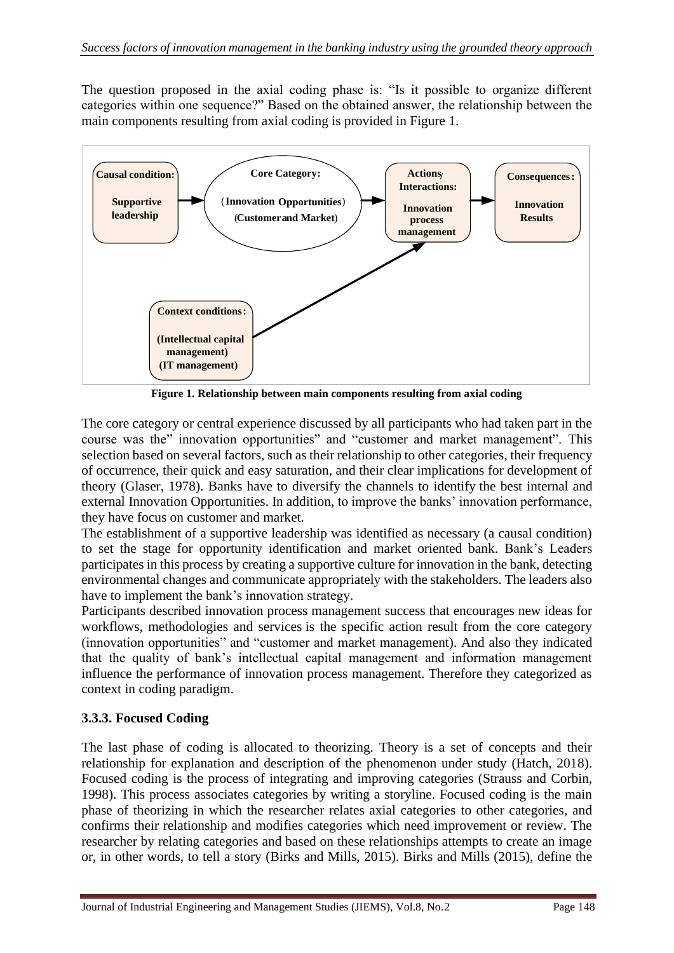The question proposed in the axial coding phase is: "Is it possible to organize different categories within one sequence?" Based on the obtained answer, the relationship between the main components resulting from axial coding is provided in Figure 1.



**Figure 1. Relationship between main components resulting from axial coding**

The core category or central experience discussed by all participants who had taken part in the course was the" innovation opportunities" and "customer and market management". This selection based on several factors, such as their relationship to other categories, their frequency of occurrence, their quick and easy saturation, and their clear implications for development of theory (Glaser, 1978). Banks have to diversify the channels to identify the best internal and external Innovation Opportunities. In addition, to improve the banks' innovation performance, they have focus on customer and market.

The establishment of a supportive leadership was identified as necessary (a causal condition) to set the stage for opportunity identification and market oriented bank. Bank's Leaders participates in this process by creating a supportive culture for innovation in the bank, detecting environmental changes and communicate appropriately with the stakeholders. The leaders also have to implement the bank's innovation strategy.

Participants described innovation process management success that encourages new ideas for workflows, methodologies and services is the specific action result from the core category (innovation opportunities" and "customer and market management). And also they indicated that the quality of bank's intellectual capital management and information management influence the performance of innovation process management. Therefore they categorized as context in coding paradigm.

# **3.3.3. Focused Coding**

The last phase of coding is allocated to theorizing. Theory is a set of concepts and their relationship for explanation and description of the phenomenon under study (Hatch, 2018). Focused coding is the process of integrating and improving categories (Strauss and Corbin, 1998). This process associates categories by writing a storyline. Focused coding is the main phase of theorizing in which the researcher relates axial categories to other categories, and confirms their relationship and modifies categories which need improvement or review. The researcher by relating categories and based on these relationships attempts to create an image or, in other words, to tell a story (Birks and Mills, 2015). Birks and Mills (2015), define the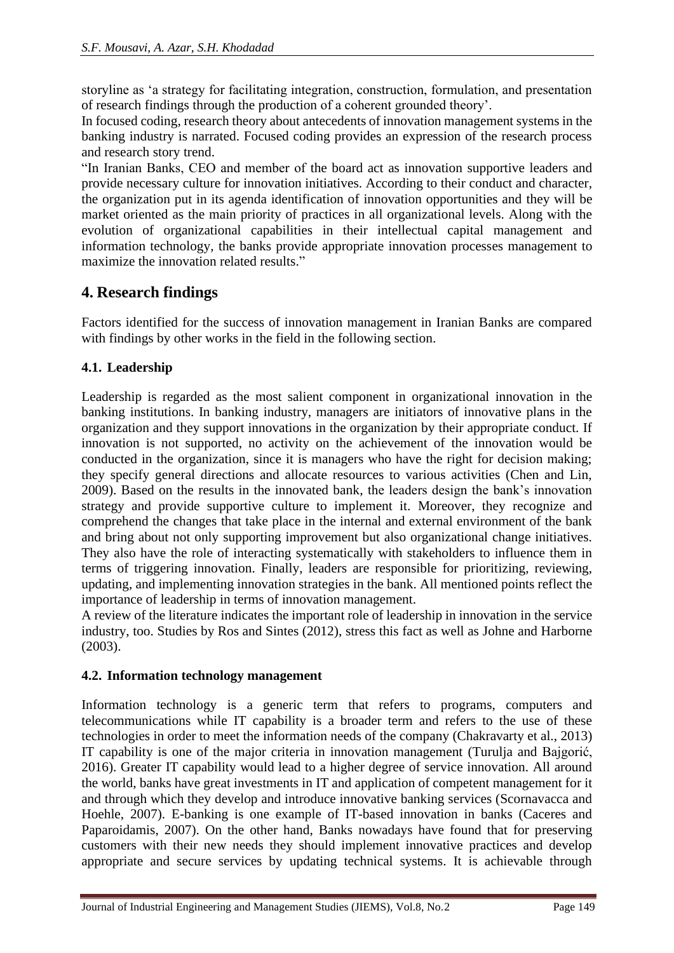storyline as 'a strategy for facilitating integration, construction, formulation, and presentation of research findings through the production of a coherent grounded theory'.

In focused coding, research theory about antecedents of innovation management systems in the banking industry is narrated. Focused coding provides an expression of the research process and research story trend.

"In Iranian Banks, CEO and member of the board act as innovation supportive leaders and provide necessary culture for innovation initiatives. According to their conduct and character, the organization put in its agenda identification of innovation opportunities and they will be market oriented as the main priority of practices in all organizational levels. Along with the evolution of organizational capabilities in their intellectual capital management and information technology, the banks provide appropriate innovation processes management to maximize the innovation related results."

# **4. Research findings**

Factors identified for the success of innovation management in Iranian Banks are compared with findings by other works in the field in the following section.

# **4.1. Leadership**

Leadership is regarded as the most salient component in organizational innovation in the banking institutions. In banking industry, managers are initiators of innovative plans in the organization and they support innovations in the organization by their appropriate conduct. If innovation is not supported, no activity on the achievement of the innovation would be conducted in the organization, since it is managers who have the right for decision making; they specify general directions and allocate resources to various activities (Chen and Lin, 2009). Based on the results in the innovated bank, the leaders design the bank's innovation strategy and provide supportive culture to implement it. Moreover, they recognize and comprehend the changes that take place in the internal and external environment of the bank and bring about not only supporting improvement but also organizational change initiatives. They also have the role of interacting systematically with stakeholders to influence them in terms of triggering innovation. Finally, leaders are responsible for prioritizing, reviewing, updating, and implementing innovation strategies in the bank. All mentioned points reflect the importance of leadership in terms of innovation management.

A review of the literature indicates the important role of leadership in innovation in the service industry, too. Studies by Ros and Sintes (2012), stress this fact as well as Johne and Harborne (2003).

# **4.2. Information technology management**

Information technology is a generic term that refers to programs, computers and telecommunications while IT capability is a broader term and refers to the use of these technologies in order to meet the information needs of the company (Chakravarty et al., 2013) IT capability is one of the major criteria in innovation management (Turulja and Bajgorić, 2016). Greater IT capability would lead to a higher degree of service innovation. All around the world, banks have great investments in IT and application of competent management for it and through which they develop and introduce innovative banking services (Scornavacca and Hoehle, 2007). E-banking is one example of IT-based innovation in banks (Caceres and Paparoidamis, 2007). On the other hand, Banks nowadays have found that for preserving customers with their new needs they should implement innovative practices and develop appropriate and secure services by updating technical systems. It is achievable through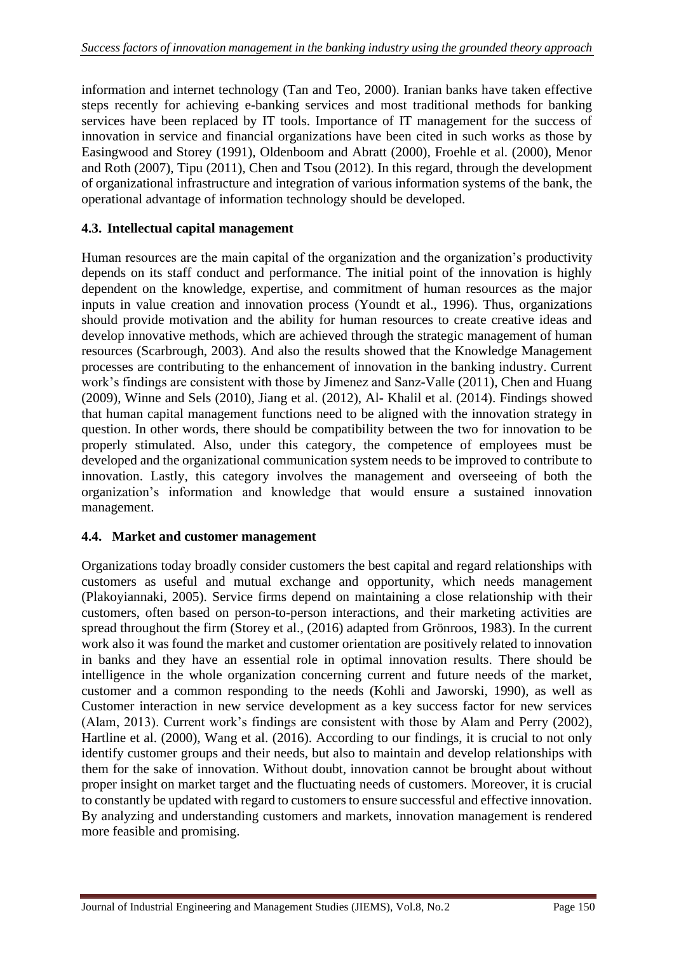information and internet technology (Tan and Teo, 2000). Iranian banks have taken effective steps recently for achieving e-banking services and most traditional methods for banking services have been replaced by IT tools. Importance of IT management for the success of innovation in service and financial organizations have been cited in such works as those by Easingwood and Storey (1991), Oldenboom and Abratt (2000), Froehle et al. (2000), Menor and Roth (2007), Tipu (2011), Chen and Tsou (2012). In this regard, through the development of organizational infrastructure and integration of various information systems of the bank, the operational advantage of information technology should be developed.

#### **4.3. Intellectual capital management**

Human resources are the main capital of the organization and the organization's productivity depends on its staff conduct and performance. The initial point of the innovation is highly dependent on the knowledge, expertise, and commitment of human resources as the major inputs in value creation and innovation process (Youndt et al., 1996). Thus, organizations should provide motivation and the ability for human resources to create creative ideas and develop innovative methods, which are achieved through the strategic management of human resources (Scarbrough, 2003). And also the results showed that the Knowledge Management processes are contributing to the enhancement of innovation in the banking industry. Current work's findings are consistent with those by Jimenez and Sanz-Valle (2011), Chen and Huang (2009), Winne and Sels (2010), Jiang et al. (2012), Al- Khalil et al. (2014). Findings showed that human capital management functions need to be aligned with the innovation strategy in question. In other words, there should be compatibility between the two for innovation to be properly stimulated. Also, under this category, the competence of employees must be developed and the organizational communication system needs to be improved to contribute to innovation. Lastly, this category involves the management and overseeing of both the organization's information and knowledge that would ensure a sustained innovation management.

#### **4.4. Market and customer management**

Organizations today broadly consider customers the best capital and regard relationships with customers as useful and mutual exchange and opportunity, which needs management (Plakoyiannaki, 2005). Service firms depend on maintaining a close relationship with their customers, often based on person-to-person interactions, and their marketing activities are spread throughout the firm (Storey et al., (2016) adapted from Grönroos, 1983). In the current work also it was found the market and customer orientation are positively related to innovation in banks and they have an essential role in optimal innovation results. There should be intelligence in the whole organization concerning current and future needs of the market, customer and a common responding to the needs (Kohli and Jaworski, 1990), as well as Customer interaction in new service development as a key success factor for new services (Alam, 2013). Current work's findings are consistent with those by Alam and Perry (2002), Hartline et al. (2000), Wang et al. (2016). According to our findings, it is crucial to not only identify customer groups and their needs, but also to maintain and develop relationships with them for the sake of innovation. Without doubt, innovation cannot be brought about without proper insight on market target and the fluctuating needs of customers. Moreover, it is crucial to constantly be updated with regard to customers to ensure successful and effective innovation. By analyzing and understanding customers and markets, innovation management is rendered more feasible and promising.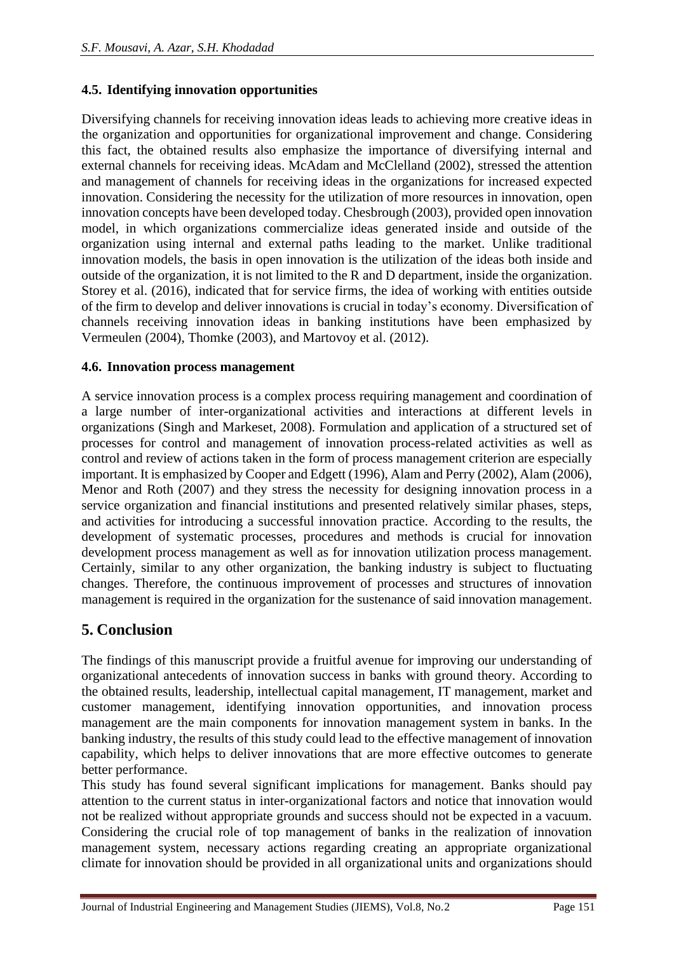#### **4.5. Identifying innovation opportunities**

Diversifying channels for receiving innovation ideas leads to achieving more creative ideas in the organization and opportunities for organizational improvement and change. Considering this fact, the obtained results also emphasize the importance of diversifying internal and external channels for receiving ideas. McAdam and McClelland (2002), stressed the attention and management of channels for receiving ideas in the organizations for increased expected innovation. Considering the necessity for the utilization of more resources in innovation, open innovation concepts have been developed today. Chesbrough (2003), provided open innovation model, in which organizations commercialize ideas generated inside and outside of the organization using internal and external paths leading to the market. Unlike traditional innovation models, the basis in open innovation is the utilization of the ideas both inside and outside of the organization, it is not limited to the R and D department, inside the organization. Storey et al. (2016), indicated that for service firms, the idea of working with entities outside of the firm to develop and deliver innovations is crucial in today's economy. Diversification of channels receiving innovation ideas in banking institutions have been emphasized by Vermeulen (2004), Thomke (2003), and Martovoy et al. (2012).

#### **4.6. Innovation process management**

A service innovation process is a complex process requiring management and coordination of a large number of inter-organizational activities and interactions at different levels in organizations (Singh and Markeset, 2008). Formulation and application of a structured set of processes for control and management of innovation process-related activities as well as control and review of actions taken in the form of process management criterion are especially important. It is emphasized by Cooper and Edgett (1996), Alam and Perry (2002), Alam (2006), Menor and Roth (2007) and they stress the necessity for designing innovation process in a service organization and financial institutions and presented relatively similar phases, steps, and activities for introducing a successful innovation practice. According to the results, the development of systematic processes, procedures and methods is crucial for innovation development process management as well as for innovation utilization process management. Certainly, similar to any other organization, the banking industry is subject to fluctuating changes. Therefore, the continuous improvement of processes and structures of innovation management is required in the organization for the sustenance of said innovation management.

# **5. Conclusion**

The findings of this manuscript provide a fruitful avenue for improving our understanding of organizational antecedents of innovation success in banks with ground theory. According to the obtained results, leadership, intellectual capital management, IT management, market and customer management, identifying innovation opportunities, and innovation process management are the main components for innovation management system in banks. In the banking industry, the results of this study could lead to the effective management of innovation capability, which helps to deliver innovations that are more effective outcomes to generate better performance.

This study has found several significant implications for management. Banks should pay attention to the current status in inter-organizational factors and notice that innovation would not be realized without appropriate grounds and success should not be expected in a vacuum. Considering the crucial role of top management of banks in the realization of innovation management system, necessary actions regarding creating an appropriate organizational climate for innovation should be provided in all organizational units and organizations should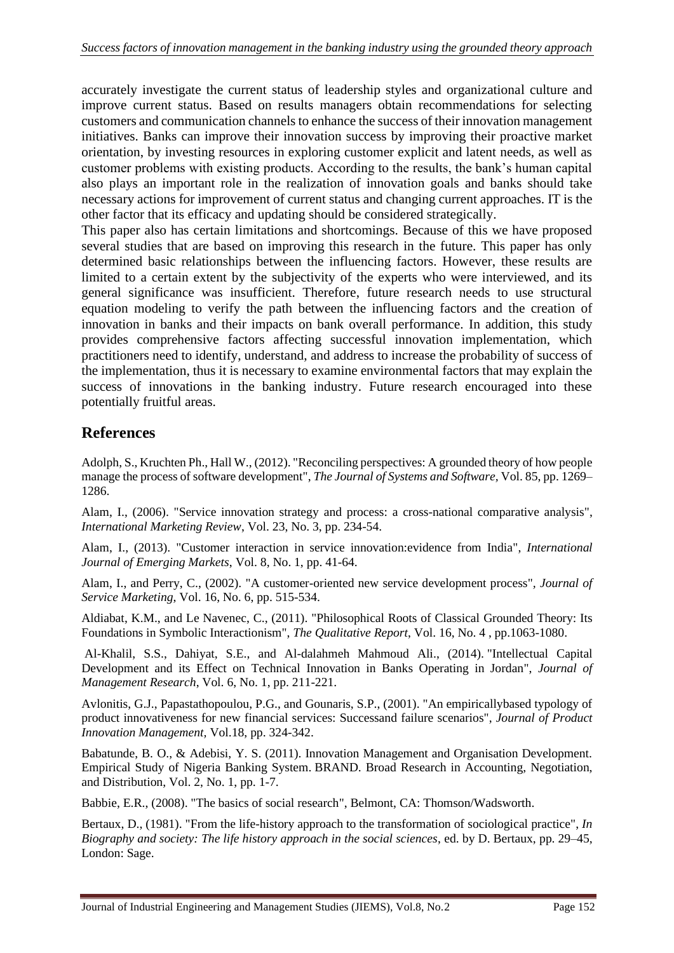accurately investigate the current status of leadership styles and organizational culture and improve current status. Based on results managers obtain recommendations for selecting customers and communication channels to enhance the success of their innovation management initiatives. Banks can improve their innovation success by improving their proactive market orientation, by investing resources in exploring customer explicit and latent needs, as well as customer problems with existing products. According to the results, the bank's human capital also plays an important role in the realization of innovation goals and banks should take necessary actions for improvement of current status and changing current approaches. IT is the other factor that its efficacy and updating should be considered strategically.

This paper also has certain limitations and shortcomings. Because of this we have proposed several studies that are based on improving this research in the future. This paper has only determined basic relationships between the influencing factors. However, these results are limited to a certain extent by the subjectivity of the experts who were interviewed, and its general significance was insufficient. Therefore, future research needs to use structural equation modeling to verify the path between the influencing factors and the creation of innovation in banks and their impacts on bank overall performance. In addition, this study provides comprehensive factors affecting successful innovation implementation, which practitioners need to identify, understand, and address to increase the probability of success of the implementation, thus it is necessary to examine environmental factors that may explain the success of innovations in the banking industry. Future research encouraged into these potentially fruitful areas.

# **References**

Adolph, S., Kruchten Ph., Hall W., (2012). "Reconciling perspectives: A grounded theory of how people manage the process of software development", *The Journal of Systems and Software,* Vol. 85, pp. 1269– 1286.

Alam, I., (2006). "Service innovation strategy and process: a cross-national comparative analysis", *International Marketing Review*, Vol. 23, No. 3, pp. 234-54.

Alam, I., (2013). "Customer interaction in service innovation:evidence from India", *International Journal of Emerging Markets*, Vol. 8, No. 1, pp. 41-64.

Alam, I., and Perry, C., (2002). "A customer-oriented new service development process"*, Journal of Service Marketing*, Vol. 16, No. 6, pp. 515-534.

Aldiabat, K.M., and Le Navenec, C., (2011). "Philosophical Roots of Classical Grounded Theory: Its Foundations in Symbolic Interactionism", *The Qualitative Report*, Vol. 16, No. 4 , pp.1063-1080.

Al-Khalil, S.S., Dahiyat, S.E., and Al-dalahmeh Mahmoud Ali., (2014). "Intellectual Capital Development and its Effect on Technical Innovation in Banks Operating in Jordan", *Journal of Management Research*, Vol. 6, No. 1, pp. 211-221.

Avlonitis, G.J., Papastathopoulou, P.G., and Gounaris, S.P., (2001). "An empiricallybased typology of product innovativeness for new financial services: Successand failure scenarios", *Journal of Product Innovation Management,* Vol.18, pp. 324-342.

Babatunde, B. O., & Adebisi, Y. S. (2011). Innovation Management and Organisation Development. Empirical Study of Nigeria Banking System. BRAND. Broad Research in Accounting, Negotiation, and Distribution, Vol. 2, No. 1, pp. 1-7.

Babbie, E.R., (2008). "The basics of social research", Belmont, CA: Thomson/Wadsworth.

Bertaux, D., (1981). "From the life-history approach to the transformation of sociological practice", *In Biography and society: The life history approach in the social sciences*, ed. by D. Bertaux, pp. 29–45, London: Sage.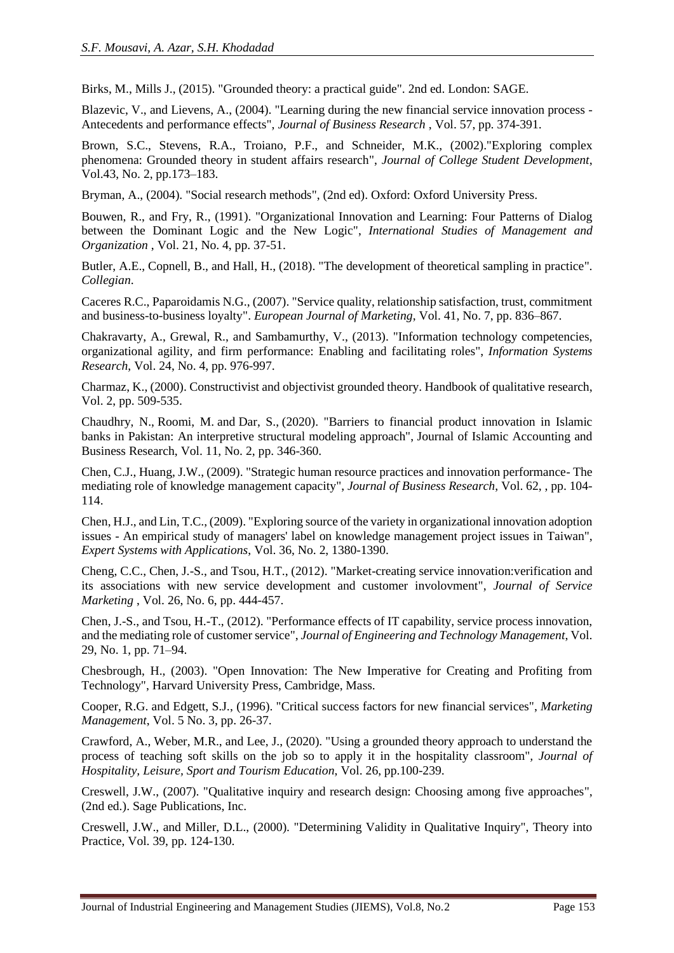Birks, M., Mills J., (2015). "Grounded theory: a practical guide". 2nd ed. London: SAGE.

Blazevic, V., and Lievens, A., (2004). "Learning during the new financial service innovation process - Antecedents and performance effects", *Journal of Business Research* , Vol. 57, pp. 374-391.

Brown, S.C., Stevens, R.A., Troiano, P.F., and Schneider, M.K., (2002)."Exploring complex phenomena: Grounded theory in student affairs research", *Journal of College Student Development*, Vol.43, No. 2, pp.173–183.

Bryman, A., (2004). "Social research methods", (2nd ed). Oxford: Oxford University Press.

Bouwen, R., and Fry, R., (1991). "Organizational Innovation and Learning: Four Patterns of Dialog between the Dominant Logic and the New Logic", *International Studies of Management and Organization* , Vol. 21, No. 4, pp. 37-51.

Butler, A.E., Copnell, B., and Hall, H., (2018). "The development of theoretical sampling in practice". *Collegian*.

Caceres R.C., Paparoidamis N.G., (2007). "Service quality, relationship satisfaction, trust, commitment and business-to-business loyalty". *European Journal of Marketing*, Vol. 41, No. 7, pp. 836–867.

Chakravarty, A., Grewal, R., and Sambamurthy, V., (2013). "Information technology competencies, organizational agility, and firm performance: Enabling and facilitating roles", *Information Systems Research*, Vol. 24, No. 4, pp. 976-997.

Charmaz, K., (2000). Constructivist and objectivist grounded theory. Handbook of qualitative research, Vol. 2, pp. 509-535.

[Chaudhry, N.,](https://www.emerald.com/insight/search?q=Naveed%20Iqbal%20Chaudhry) [Roomi, M.](https://www.emerald.com/insight/search?q=Muhammad%20Azam%20Roomi) and [Dar, S.,](https://www.emerald.com/insight/search?q=Sidra%20Dar) (2020). "Barriers to financial product innovation in Islamic banks in Pakistan: An interpretive structural modeling approach", [Journal of Islamic Accounting and](https://www.emerald.com/insight/publication/issn/1759-0817)  [Business Research,](https://www.emerald.com/insight/publication/issn/1759-0817) Vol. 11, No. 2, pp. 346-360.

Chen, C.J., Huang, J.W., (2009). "Strategic human resource practices and innovation performance- The mediating role of knowledge management capacity", *Journal of Business Research*, Vol. 62, , pp. 104- 114.

Chen, H.J., and Lin, T.C., (2009). "Exploring source of the variety in organizational innovation adoption issues - An empirical study of managers' label on knowledge management project issues in Taiwan", *Expert Systems with Applications*, Vol. 36, No. 2, 1380-1390.

Cheng, C.C., Chen, J.-S., and Tsou, H.T., (2012). "Market-creating service innovation:verification and its associations with new service development and customer involovment", *Journal of Service Marketing* , Vol. 26, No. 6, pp. 444-457.

Chen, J.-S., and Tsou, H.-T., (2012). "Performance effects of IT capability, service process innovation, and the mediating role of customer service", *Journal of Engineering and Technology Management*, Vol. 29, No. 1, pp. 71–94.

Chesbrough, H., (2003). "Open Innovation: The New Imperative for Creating and Profiting from Technology", Harvard University Press, Cambridge, Mass.

Cooper, R.G. and Edgett, S.J., (1996). "Critical success factors for new financial services", *Marketing Management*, Vol. 5 No. 3, pp. 26-37.

Crawford, A., Weber, M.R., and Lee, J., (2020). "Using a grounded theory approach to understand the process of teaching soft skills on the job so to apply it in the hospitality classroom"*, Journal of Hospitality, Leisure, Sport and Tourism Education*, Vol. 26, pp.100-239.

Creswell, J.W., (2007). "Qualitative inquiry and research design: Choosing among five approaches", (2nd ed.). Sage Publications, Inc.

Creswell, J.W., and Miller, D.L., (2000). "Determining Validity in Qualitative Inquiry", Theory into Practice, Vol. 39, pp. 124-130.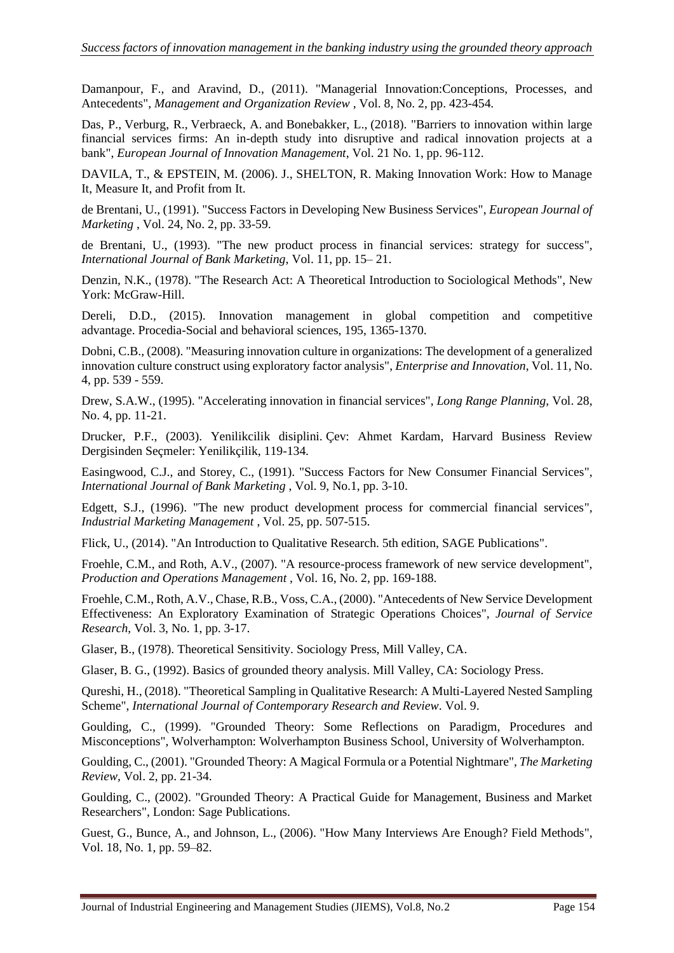Damanpour, F., and Aravind, D., (2011). "Managerial Innovation:Conceptions, Processes, and Antecedents", *Management and Organization Review* , Vol. 8, No. 2, pp. 423-454.

[Das, P.,](https://www.emerald.com/insight/search?q=Patrick%20Das) [Verburg, R.,](https://www.emerald.com/insight/search?q=Robert%20Verburg) [Verbraeck, A.](https://www.emerald.com/insight/search?q=Alexander%20Verbraeck) and [Bonebakker, L.,](https://www.emerald.com/insight/search?q=Lodewijk%20Bonebakker) (2018). "Barriers to innovation within large financial services firms: An in-depth study into disruptive and radical innovation projects at a bank", *[European Journal of Innovation Management](https://www.emerald.com/insight/publication/issn/1460-1060)*, Vol. 21 No. 1, pp. 96-112.

DAVILA, T., & EPSTEIN, M. (2006). J., SHELTON, R. Making Innovation Work: How to Manage It, Measure It, and Profit from It.

de Brentani, U., (1991). "Success Factors in Developing New Business Services", *European Journal of Marketing* , Vol. 24, No. 2, pp. 33-59.

de Brentani, U., (1993). "The new product process in financial services: strategy for success", *International Journal of Bank Marketing*, Vol. 11, pp. 15– 21.

Denzin, N.K., (1978). "The Research Act: A Theoretical Introduction to Sociological Methods", New York: McGraw-Hill.

Dereli, D.D., (2015). Innovation management in global competition and competitive advantage. Procedia-Social and behavioral sciences, 195, 1365-1370.

Dobni, C.B., (2008). "Measuring innovation culture in organizations: The development of a generalized innovation culture construct using exploratory factor analysis", *Enterprise and Innovation*, Vol. 11, No. 4, pp. 539 - 559.

Drew, S.A.W., (1995). "Accelerating innovation in financial services", *Long Range Planning*, Vol. 28, No. 4, pp. 11-21.

Drucker, P.F., (2003). Yenilikcilik disiplini. Çev: Ahmet Kardam, Harvard Business Review Dergisinden Seçmeler: Yenilikçilik, 119-134.

Easingwood, C.J., and Storey, C., (1991). "Success Factors for New Consumer Financial Services", *International Journal of Bank Marketing* , Vol. 9, No.1, pp. 3-10.

Edgett, S.J., (1996). "The new product development process for commercial financial services", *Industrial Marketing Management* , Vol. 25, pp. 507-515.

[Flick,](https://www.google.com/search?tbo=p&tbm=bks&q=inauthor:%22Uwe+Flick%22) U., (2014). "An Introduction to Qualitative Research. 5th edition, SAGE Publications".

Froehle, C.M., and Roth, A.V., (2007). "A resource-process framework of new service development", *Production and Operations Management* , Vol. 16, No. 2, pp. 169-188.

Froehle, C.M., Roth, A.V., Chase, R.B., Voss, C.A., (2000). "Antecedents of New Service Development Effectiveness: An Exploratory Examination of Strategic Operations Choices", *Journal of Service Research*, Vol. 3, No. 1, pp. 3-17.

Glaser, B., (1978). Theoretical Sensitivity. Sociology Press, Mill Valley, CA.

Glaser, B. G., (1992). Basics of grounded theory analysis. Mill Valley, CA: Sociology Press.

Qureshi, H., (2018). "Theoretical Sampling in Qualitative Research: A Multi-Layered Nested Sampling Scheme", *International Journal of Contemporary Research and Review*. Vol. 9.

Goulding, C., (1999). "Grounded Theory: Some Reflections on Paradigm, Procedures and Misconceptions", Wolverhampton: Wolverhampton Business School, University of Wolverhampton.

Goulding, C., (2001). "Grounded Theory: A Magical Formula or a Potential Nightmare", *The Marketing Review,* Vol. 2, pp. 21-34.

Goulding, C., (2002). "Grounded Theory: A Practical Guide for Management, Business and Market Researchers", London: Sage Publications.

Guest, G., Bunce, A., and Johnson, L., (2006). "How Many Interviews Are Enough? Field Methods", Vol. 18, No. 1, pp. 59–82.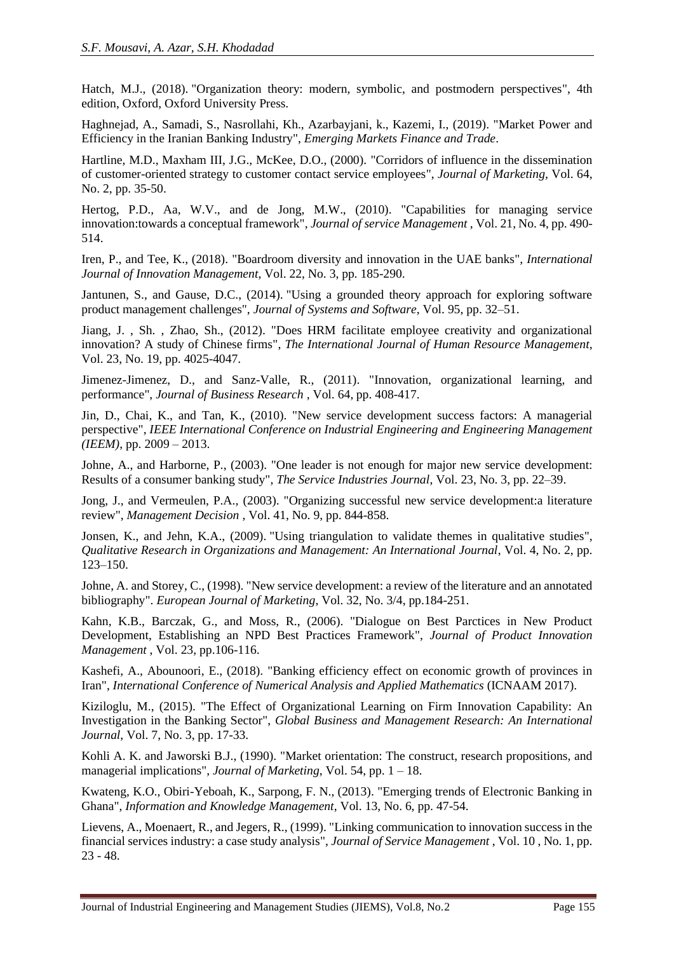Hatch, M.J., (2018). "Organization theory: modern, symbolic, and postmodern perspectives", 4th edition, Oxford, Oxford University Press.

Haghnejad, A., Samadi, S., Nasrollahi, Kh., Azarbayjani, k., Kazemi, I., (2019). "Market Power and Efficiency in the Iranian Banking Industry", *Emerging Markets Finance and Trade*.

Hartline, M.D., Maxham III, J.G., McKee, D.O., (2000). "Corridors of influence in the dissemination of customer-oriented strategy to customer contact service employees", *Journal of Marketing,* Vol. 64, No. 2, pp. 35-50.

Hertog, P.D., Aa, W.V., and de Jong, M.W., (2010). "Capabilities for managing service innovation:towards a conceptual framework", *Journal of service Management* , Vol. 21, No. 4, pp. 490- 514.

Iren, P., and Tee, K., (2018). "Boardroom diversity and innovation in the UAE banks", *International Journal of Innovation Management*, Vol. 22, No. 3, pp. 185-290.

Jantunen, S., and Gause, D.C., (2014). "Using a grounded theory approach for exploring software product management challenges", *Journal of Systems and Software*, Vol. 95, pp. 32–51.

[Jiang,](http://www.tandfonline.com/action/doSearch?action=runSearch&type=advanced&searchType=journal&result=true&prevSearch=%2Bauthorsfield%3A(Jiang%2C+J)) J. , Sh. [, Zhao,](http://www.tandfonline.com/action/doSearch?action=runSearch&type=advanced&searchType=journal&result=true&prevSearch=%2Bauthorsfield%3A(Zhao%2C+S)) Sh., (2012). "Does HRM facilitate employee creativity and organizational innovation? A study of Chinese firms", *The International Journal of Human Resource Management*, Vol. 23, No. 19, pp. 4025-4047.

Jimenez-Jimenez, D., and Sanz-Valle, R., (2011). "Innovation, organizational learning, and performance", *Journal of Business Research* , Vol. 64, pp. 408-417.

Jin, D., Chai, K., and Tan, K., (2010). "New service development success factors: A managerial perspective", *IEEE International Conference on Industrial Engineering and Engineering Management (IEEM)*, pp. 2009 – 2013.

Johne, A., and Harborne, P., (2003). "One leader is not enough for major new service development: Results of a consumer banking study", *The Service Industries Journal*, Vol. 23, No. 3, pp. 22–39.

Jong, J., and Vermeulen, P.A., (2003). "Organizing successful new service development:a literature review", *Management Decision* , Vol. 41, No. 9, pp. 844-858.

Jonsen, K., and Jehn, K.A., (2009). "Using triangulation to validate themes in qualitative studies", *Qualitative Research in Organizations and Management: An International Journal*, Vol. 4, No. 2, pp.  $\bar{1}23-150.$ 

Johne, A. and Storey, C., (1998). "New service development: a review of the literature and an annotated bibliography". *European Journal of Marketing*, Vol. 32, No. 3/4, pp.184-251.

Kahn, K.B., Barczak, G., and Moss, R., (2006). "Dialogue on Best Parctices in New Product Development, Establishing an NPD Best Practices Framework", *Journal of Product Innovation Management* , Vol. 23, pp.106-116.

Kashefi, A., Abounoori, E., (2018). "Banking efficiency effect on economic growth of provinces in Iran", *International Conference of Numerical Analysis and Applied Mathematics* (ICNAAM 2017).

Kiziloglu, M., (2015). "The Effect of Organizational Learning on Firm Innovation Capability: An Investigation in the Banking Sector", *Global Business and Management Research: An International Journal*, Vol. 7, No. 3, pp. 17-33.

Kohli A. K. and Jaworski B.J., (1990). "Market orientation: The construct, research propositions, and managerial implications", *Journal of Marketing*, Vol. 54, pp. 1 – 18.

Kwateng, K.O., Obiri-Yeboah, K., Sarpong, F. N., (2013). "Emerging trends of Electronic Banking in Ghana", *Information and Knowledge Management*, Vol. 13, No. 6, pp. 47-54.

Lievens, A., Moenaert, R., and Jegers, R., (1999). "Linking communication to innovation success in the financial services industry: a case study analysis", *Journal of Service Management* , Vol. 10 , No. 1, pp. 23 - 48.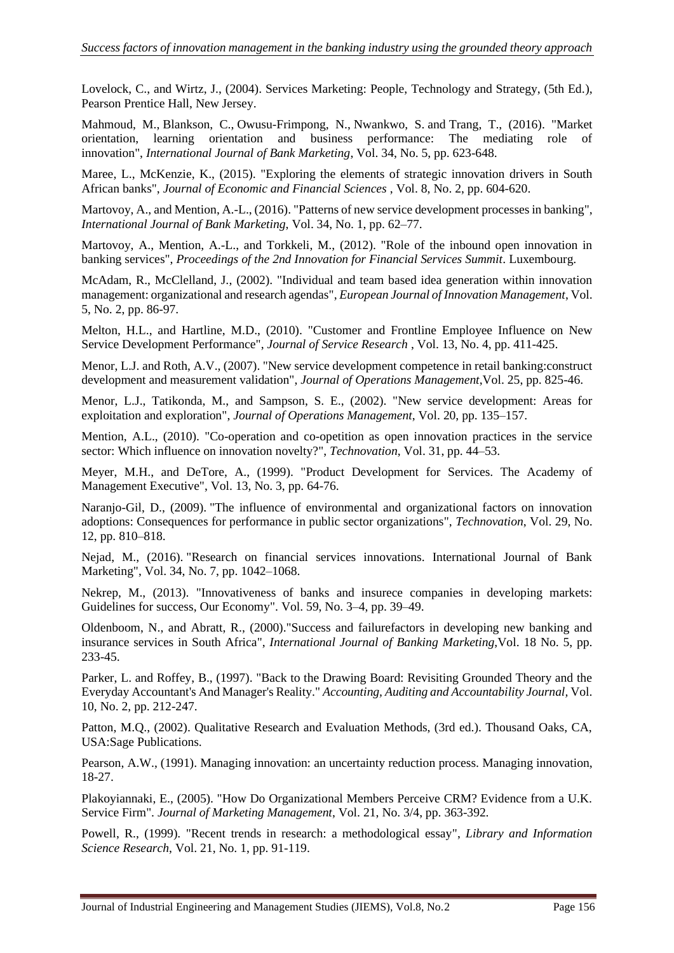Lovelock, C., and Wirtz, J., (2004). Services Marketing: People, Technology and Strategy, (5th Ed.), Pearson Prentice Hall, New Jersey.

[Mahmoud, M.,](https://www.emerald.com/insight/search?q=Mahmoud%20Abdulai%20Mahmoud) [Blankson, C.,](https://www.emerald.com/insight/search?q=Charles%20Blankson) [Owusu-Frimpong, N.,](https://www.emerald.com/insight/search?q=Nana%20Owusu-Frimpong) [Nwankwo, S.](https://www.emerald.com/insight/search?q=Sonny%20Nwankwo) and [Trang, T.,](https://www.emerald.com/insight/search?q=Tran%20P.%20Trang) (2016). "Market orientation, learning orientation and business performance: The mediating role of innovation", *[International Journal of Bank Marketing](https://www.emerald.com/insight/publication/issn/0265-2323)*, Vol. 34, No. 5, pp. 623-648.

Maree, L., McKenzie, K., (2015). "Exploring the elements of strategic innovation drivers in South African banks", *Journal of Economic and Financial Sciences* , Vol. 8, No. 2, pp. 604-620.

Martovoy, A., and Mention, A.-L., (2016). "Patterns of new service development processes in banking", *International Journal of Bank Marketing*, Vol. 34, No. 1, pp. 62–77.

Martovoy, A., Mention, A.-L., and Torkkeli, M., (2012). "Role of the inbound open innovation in banking services", *Proceedings of the 2nd Innovation for Financial Services Summit*. Luxembourg.

McAdam, R., McClelland, J., (2002). "Individual and team based idea generation within innovation management: organizational and research agendas", *European Journal of Innovation Management*, Vol. 5, No. 2, pp. 86-97.

Melton, H.L., and Hartline, M.D., (2010). "Customer and Frontline Employee Influence on New Service Development Performance", *Journal of Service Research* , Vol. 13, No. 4, pp. 411-425.

Menor, L.J. and Roth, A.V., (2007). "New service development competence in retail banking:construct development and measurement validation", *Journal of Operations Management*,Vol. 25, pp. 825-46.

Menor, L.J., Tatikonda, M., and Sampson, S. E., (2002). "New service development: Areas for exploitation and exploration", *Journal of Operations Management*, Vol. 20, pp. 135–157.

Mention, A.L., (2010). "Co-operation and co-opetition as open innovation practices in the service sector: Which influence on innovation novelty?", *Technovation*, Vol. 31, pp. 44–53.

Meyer, M.H., and DeTore, A., (1999). "Product Development for Services. The Academy of Management Executive", Vol. 13, No. 3, pp. 64-76.

Naranjo-Gil, D., (2009). "The influence of environmental and organizational factors on innovation adoptions: Consequences for performance in public sector organizations", *Technovation*, Vol. 29, No. 12, pp. 810–818.

Nejad, M., (2016). "Research on financial services innovations. International Journal of Bank Marketing", Vol. 34, No. 7, pp. 1042–1068.

Nekrep, M., (2013). "Innovativeness of banks and insurece companies in developing markets: Guidelines for success, Our Economy". Vol. 59, No. 3–4, pp. 39–49.

Oldenboom, N., and Abratt, R., (2000)."Success and failurefactors in developing new banking and insurance services in South Africa", *International Journal of Banking Marketing*,Vol. 18 No. 5, pp. 233-45.

Parker, L. and Roffey, B., (1997). "Back to the Drawing Board: Revisiting Grounded Theory and the Everyday Accountant's And Manager's Reality." *Accounting, Auditing and Accountability Journal,* Vol. 10, No. 2, pp. 212-247.

Patton, M.Q., (2002). Qualitative Research and Evaluation Methods, (3rd ed.). Thousand Oaks, CA, USA:Sage Publications.

Pearson, A.W., (1991). Managing innovation: an uncertainty reduction process. Managing innovation, 18-27.

Plakoyiannaki, E., (2005). "How Do Organizational Members Perceive CRM? Evidence from a U.K. Service Firm". *Journal of Marketing Management*, Vol. 21, No. 3/4, pp. 363-392.

Powell, R., (1999). "Recent trends in research: a methodological essay", *Library and Information Science Research*, Vol. 21, No. 1, pp. 91-119.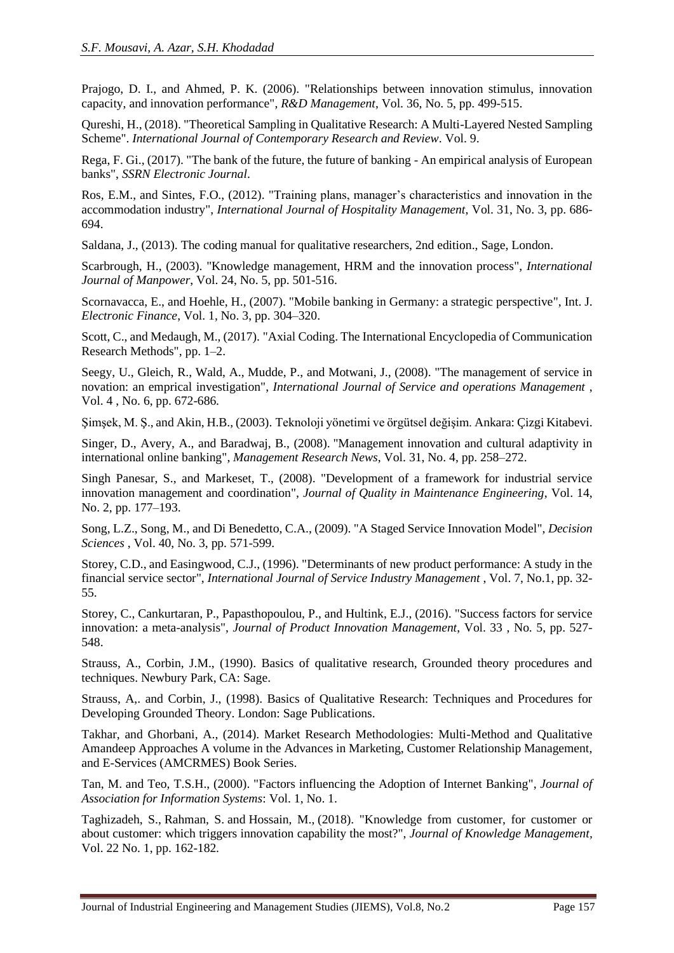Prajogo, D. I., and Ahmed, P. K. (2006). "Relationships between innovation stimulus, innovation capacity, and innovation performance", *R&D Management*, Vol. 36, No. 5, pp. 499-515.

Qureshi, H., (2018). "Theoretical Sampling in Qualitative Research: A Multi-Layered Nested Sampling Scheme". *International Journal of Contemporary Research and Review*. Vol. 9.

Rega, F. Gi., (2017). "The bank of the future, the future of banking - An empirical analysis of European banks", *SSRN Electronic Journal*.

Ros, E.M., and Sintes, F.O., (2012). "Training plans, manager's characteristics and innovation in the accommodation industry", *International Journal of Hospitality Management*, Vol. 31, No. 3, pp. 686- 694.

Saldana, J., (2013). The coding manual for qualitative researchers, 2nd edition., Sage, London.

Scarbrough, H., (2003). "Knowledge management, HRM and the innovation process", *International Journal of Manpower*, Vol. 24, No. 5, pp. 501-516.

Scornavacca, E., and Hoehle, H., (2007). "Mobile banking in Germany: a strategic perspective", Int. J. *Electronic Finance*, Vol. 1, No. 3, pp. 304–320.

Scott, C., and Medaugh, M., (2017). "Axial Coding. The International Encyclopedia of Communication Research Methods", pp. 1–2.

Seegy, U., Gleich, R., Wald, A., Mudde, P., and Motwani, J., (2008). "The management of service in novation: an emprical investigation", *International Journal of Service and operations Management* , Vol. 4 , No. 6, pp. 672-686.

Şimşek, M. Ş., and Akin, H.B., (2003). Teknoloji yönetimi ve örgütsel değişim. Ankara: Çizgi Kitabevi.

Singer, D., Avery, A., and Baradwaj, B., (2008). "Management innovation and cultural adaptivity in international online banking", *Management Research News*, Vol. 31, No. 4, pp. 258–272.

Singh Panesar, S., and Markeset, T., (2008). "Development of a framework for industrial service innovation management and coordination", *Journal of Quality in Maintenance Engineering*, Vol. 14, No. 2, pp. 177–193.

Song, L.Z., Song, M., and Di Benedetto, C.A., (2009). "A Staged Service Innovation Model", *Decision Sciences* , Vol. 40, No. 3, pp. 571-599.

Storey, C.D., and Easingwood, C.J., (1996). "Determinants of new product performance: A study in the financial service sector", *International Journal of Service Industry Management* , Vol. 7, No.1, pp. 32- 55.

Storey, C., Cankurtaran, P., Papasthopoulou, P., and Hultink, E.J., (2016). "Success factors for service innovation: a meta-analysis", *Journal of Product Innovation Management*, Vol. 33 , No. 5, pp. 527- 548.

Strauss, A., Corbin, J.M., (1990). Basics of qualitative research, Grounded theory procedures and techniques. Newbury Park, CA: Sage.

Strauss, A,. and Corbin, J., (1998). Basics of Qualitative Research: Techniques and Procedures for Developing Grounded Theory. London: Sage Publications.

Takhar, and Ghorbani, A., (2014). Market Research Methodologies: Multi-Method and Qualitative Amandeep Approaches A volume in the Advances in Marketing, Customer Relationship Management, and E-Services (AMCRMES) Book Series.

Tan, M. and Teo, T.S.H., (2000). "Factors influencing the Adoption of Internet Banking", *Journal of Association for Information Systems*: Vol. 1, No. 1.

[Taghizadeh, S.,](https://www.emerald.com/insight/search?q=Seyedeh%20Khadijeh%20Taghizadeh) [Rahman, S.](https://www.emerald.com/insight/search?q=Syed%20Abidur%20Rahman) and [Hossain, M.,](https://www.emerald.com/insight/search?q=Md.%20Mosharref%20Hossain) (2018). "Knowledge from customer, for customer or about customer: which triggers innovation capability the most?", *[Journal of Knowledge Management,](https://www.emerald.com/insight/publication/issn/1367-3270)*  Vol. 22 No. 1, pp. 162-182.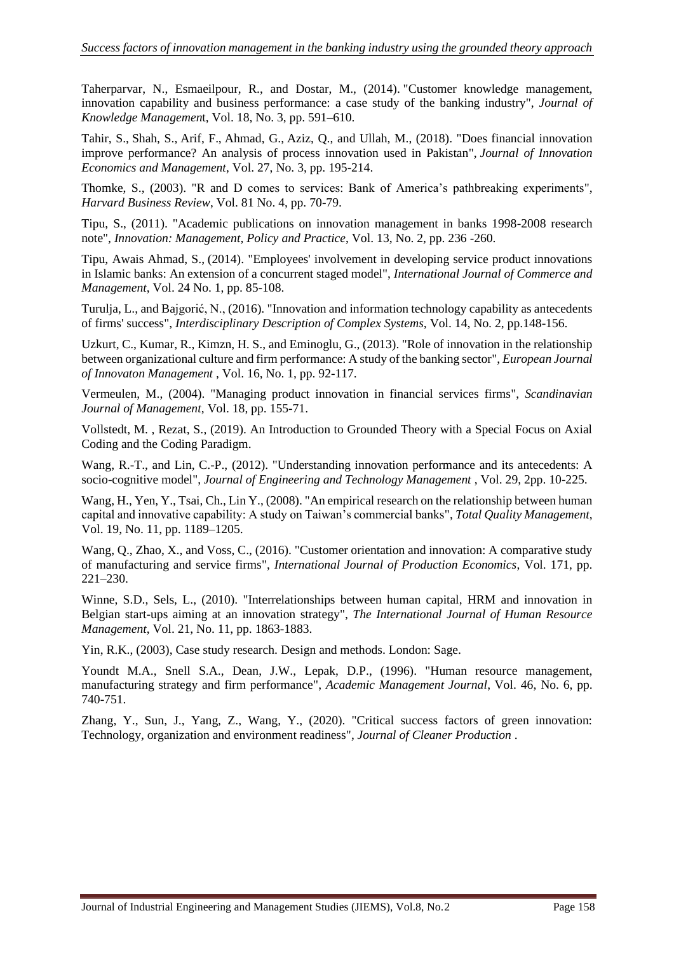Taherparvar, N., Esmaeilpour, R., and Dostar, M., (2014). "Customer knowledge management, innovation capability and business performance: a case study of the banking industry", *Journal of Knowledge Managemen*t, Vol. 18, No. 3, pp. 591–610.

Tahir, S., Shah, S., Arif, F., Ahmad, G., Aziz, Q., and Ullah, M., (2018). "Does financial innovation improve performance? An analysis of process innovation used in Pakistan", *Journal of Innovation Economics and Management*, Vol. 27, No. 3, pp. 195-214.

Thomke, S., (2003). "R and D comes to services: Bank of America's pathbreaking experiments", *Harvard Business Review*, Vol. 81 No. 4, pp. 70-79.

Tipu, S., (2011). "Academic publications on innovation management in banks 1998-2008 research note", *Innovation: Management, Policy and Practice*, Vol. 13, No. 2, pp. 236 -260.

Tipu, [Awais Ahmad, S.,](https://www.emerald.com/insight/search?q=Syed%20Awais%20Ahmad%20Tipu) (2014). "Employees' involvement in developing service product innovations in Islamic banks: An extension of a concurrent staged model", *[International Journal of Commerce and](https://www.emerald.com/insight/publication/issn/1056-9219)  [Management](https://www.emerald.com/insight/publication/issn/1056-9219)*, Vol. 24 No. 1, pp. 85-108.

Turulja, L., and Bajgorić, N., (2016). ["Innovation and information technology capability as antecedents](https://ideas.repec.org/a/zna/indecs/v14y2016i2p148-156.html)  [of firms' success"](https://ideas.repec.org/a/zna/indecs/v14y2016i2p148-156.html), *[Interdisciplinary Description of Complex Systems,](https://ideas.repec.org/s/zna/indecs.html)* Vol. 14, No. 2, pp.148-156.

Uzkurt, C., Kumar, R., Kimzn, H. S., and Eminoglu, G., (2013). "Role of innovation in the relationship between organizational culture and firm performance: A study of the banking sector", *European Journal of Innovaton Management* , Vol. 16, No. 1, pp. 92-117.

Vermeulen, M., (2004). "Managing product innovation in financial services firms", *Scandinavian Journal of Management*, Vol. 18, pp. 155-71.

Vollstedt, M. , Rezat, S., (2019). An Introduction to Grounded Theory with a Special Focus on Axial Coding and the Coding Paradigm.

Wang, R.-T., and Lin, C.-P., (2012). "Understanding innovation performance and its antecedents: A socio-cognitive model", *Journal of Engineering and Technology Management* , Vol. 29, 2pp. 10-225.

Wang, H., Yen, Y., Tsai, Ch., Lin Y., (2008). "An empirical research on the relationship between human capital and innovative capability: A study on Taiwan's commercial banks", *Total Quality Management*, Vol. 19, No. 11, pp. 1189–1205.

Wang, Q., Zhao, X., and Voss, C., (2016). "Customer orientation and innovation: A comparative study of manufacturing and service firms", *International Journal of Production Economics*, Vol. 171, pp. 221–230.

Winne, S.D., Sels, L., (2010). "Interrelationships between human capital, HRM and innovation in Belgian start-ups aiming at an innovation strategy", *The International Journal of Human Resource Management*, Vol. 21, No. 11, pp. 1863-1883.

Yin, R.K., (2003), Case study research. Design and methods. London: Sage.

Youndt M.A., Snell S.A., Dean, J.W., Lepak, D.P., (1996). "Human resource management, manufacturing strategy and firm performance", *Academic Management Journal*, Vol. 46, No. 6, pp. 740-751.

Zhang, Y., Sun, J., Yang, Z., Wang, Y., (2020). "Critical success factors of green innovation: Technology, organization and environment readiness", *Journal of Cleaner Production* .